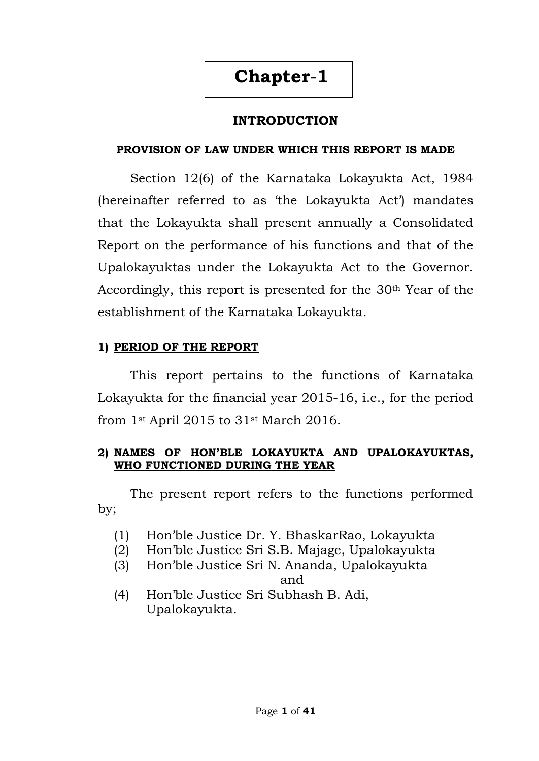# **INTRODUCTION**

## **PROVISION OF LAW UNDER WHICH THIS REPORT IS MADE**

Section 12(6) of the Karnataka Lokayukta Act, 1984 (hereinafter referred to as 'the Lokayukta Act') mandates that the Lokayukta shall present annually a Consolidated Report on the performance of his functions and that of the Upalokayuktas under the Lokayukta Act to the Governor. Accordingly, this report is presented for the 30<sup>th</sup> Year of the establishment of the Karnataka Lokayukta.

# **1) PERIOD OF THE REPORT**

This report pertains to the functions of Karnataka Lokayukta for the financial year 2015-16, i.e., for the period from 1st April 2015 to 31st March 2016.

## **2) NAMES OF HON'BLE LOKAYUKTA AND UPALOKAYUKTAS, WHO FUNCTIONED DURING THE YEAR**

The present report refers to the functions performed by;

- (1) Hon'ble Justice Dr. Y. BhaskarRao, Lokayukta
- (2) Hon'ble Justice Sri S.B. Majage, Upalokayukta
- (3) Hon'ble Justice Sri N. Ananda, Upalokayukta

and

(4) Hon'ble Justice Sri Subhash B. Adi, Upalokayukta.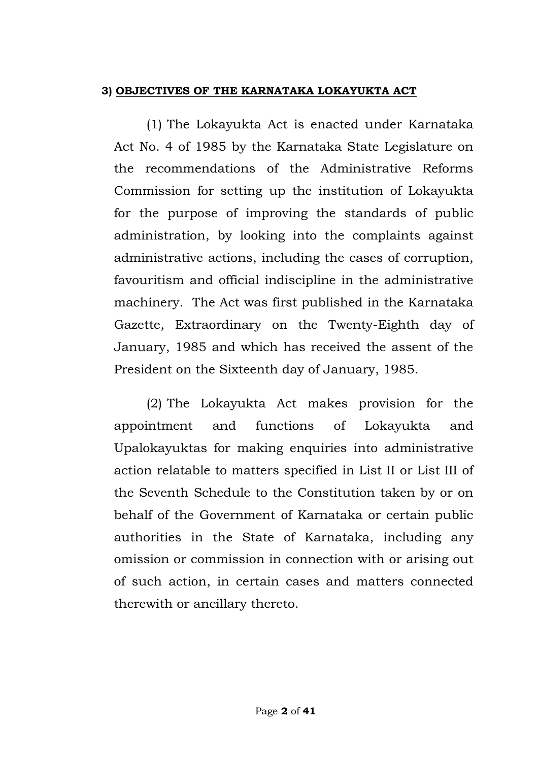## **3) OBJECTIVES OF THE KARNATAKA LOKAYUKTA ACT**

(1) The Lokayukta Act is enacted under Karnataka Act No. 4 of 1985 by the Karnataka State Legislature on the recommendations of the Administrative Reforms Commission for setting up the institution of Lokayukta for the purpose of improving the standards of public administration, by looking into the complaints against administrative actions, including the cases of corruption, favouritism and official indiscipline in the administrative machinery. The Act was first published in the Karnataka Gazette, Extraordinary on the Twenty-Eighth day of January, 1985 and which has received the assent of the President on the Sixteenth day of January, 1985.

(2) The Lokayukta Act makes provision for the appointment and functions of Lokayukta and Upalokayuktas for making enquiries into administrative action relatable to matters specified in List II or List III of the Seventh Schedule to the Constitution taken by or on behalf of the Government of Karnataka or certain public authorities in the State of Karnataka, including any omission or commission in connection with or arising out of such action, in certain cases and matters connected therewith or ancillary thereto.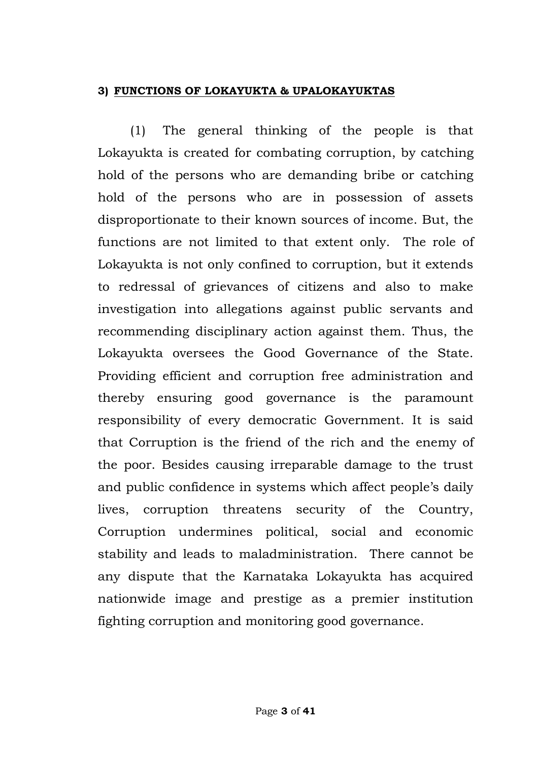## **3) FUNCTIONS OF LOKAYUKTA & UPALOKAYUKTAS**

(1) The general thinking of the people is that Lokayukta is created for combating corruption, by catching hold of the persons who are demanding bribe or catching hold of the persons who are in possession of assets disproportionate to their known sources of income. But, the functions are not limited to that extent only. The role of Lokayukta is not only confined to corruption, but it extends to redressal of grievances of citizens and also to make investigation into allegations against public servants and recommending disciplinary action against them. Thus, the Lokayukta oversees the Good Governance of the State. Providing efficient and corruption free administration and thereby ensuring good governance is the paramount responsibility of every democratic Government. It is said that Corruption is the friend of the rich and the enemy of the poor. Besides causing irreparable damage to the trust and public confidence in systems which affect people's daily lives, corruption threatens security of the Country, Corruption undermines political, social and economic stability and leads to maladministration. There cannot be any dispute that the Karnataka Lokayukta has acquired nationwide image and prestige as a premier institution fighting corruption and monitoring good governance.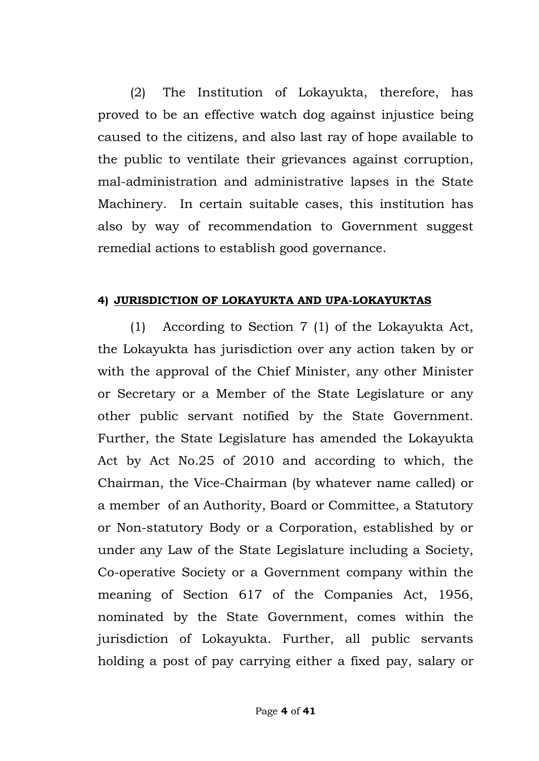(2) The Institution of Lokayukta, therefore, has proved to be an effective watch dog against injustice being caused to the citizens, and also last ray of hope available to the public to ventilate their grievances against corruption, mal-administration and administrative lapses in the State Machinery. In certain suitable cases, this institution has also by way of recommendation to Government suggest remedial actions to establish good governance.

### **4) JURISDICTION OF LOKAYUKTA AND UPA-LOKAYUKTAS**

(1) According to Section 7 (1) of the Lokayukta Act, the Lokayukta has jurisdiction over any action taken by or with the approval of the Chief Minister, any other Minister or Secretary or a Member of the State Legislature or any other public servant notified by the State Government. Further, the State Legislature has amended the Lokayukta Act by Act No.25 of 2010 and according to which, the Chairman, the Vice-Chairman (by whatever name called) or a member of an Authority, Board or Committee, a Statutory or Non-statutory Body or a Corporation, established by or under any Law of the State Legislature including a Society, Co-operative Society or a Government company within the meaning of Section 617 of the Companies Act, 1956, nominated by the State Government, comes within the jurisdiction of Lokayukta. Further, all public servants holding a post of pay carrying either a fixed pay, salary or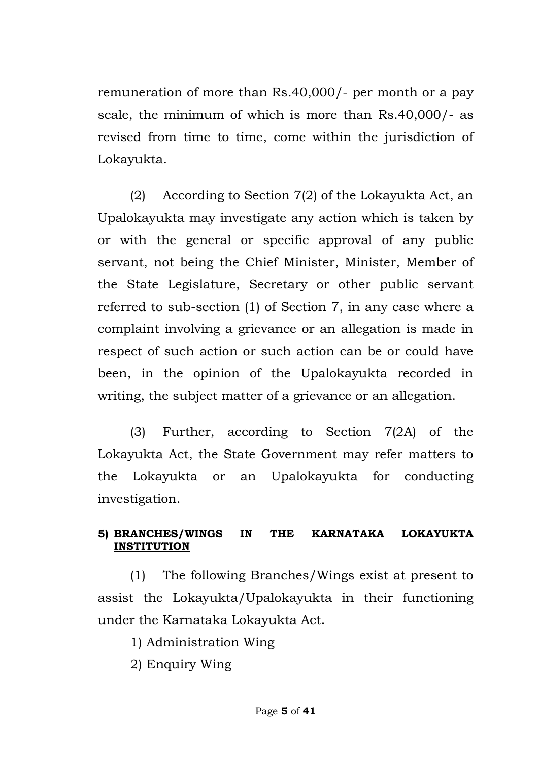remuneration of more than Rs.40,000/- per month or a pay scale, the minimum of which is more than Rs.40,000/- as revised from time to time, come within the jurisdiction of Lokayukta.

(2) According to Section 7(2) of the Lokayukta Act, an Upalokayukta may investigate any action which is taken by or with the general or specific approval of any public servant, not being the Chief Minister, Minister, Member of the State Legislature, Secretary or other public servant referred to sub-section (1) of Section 7, in any case where a complaint involving a grievance or an allegation is made in respect of such action or such action can be or could have been, in the opinion of the Upalokayukta recorded in writing, the subject matter of a grievance or an allegation.

(3) Further, according to Section 7(2A) of the Lokayukta Act, the State Government may refer matters to the Lokayukta or an Upalokayukta for conducting investigation.

## **5) BRANCHES/WINGS IN THE KARNATAKA LOKAYUKTA INSTITUTION**

(1) The following Branches/Wings exist at present to assist the Lokayukta/Upalokayukta in their functioning under the Karnataka Lokayukta Act.

1) Administration Wing

2) Enquiry Wing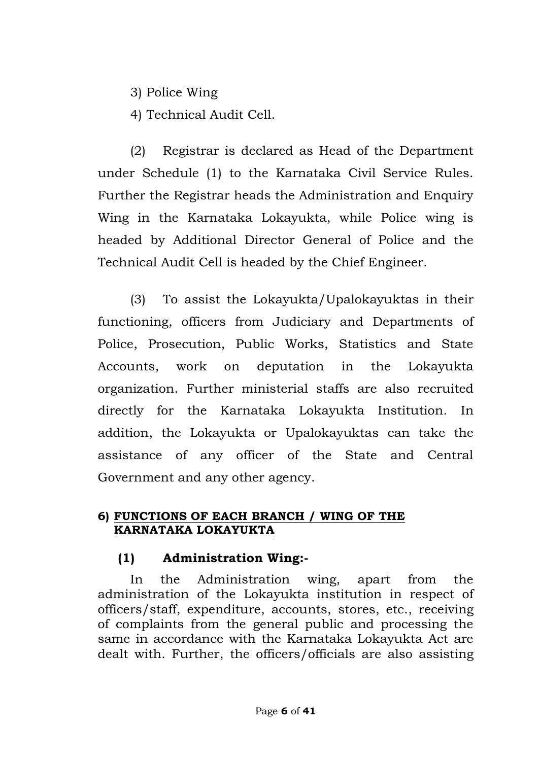3) Police Wing

4) Technical Audit Cell.

(2) Registrar is declared as Head of the Department under Schedule (1) to the Karnataka Civil Service Rules. Further the Registrar heads the Administration and Enquiry Wing in the Karnataka Lokayukta, while Police wing is headed by Additional Director General of Police and the Technical Audit Cell is headed by the Chief Engineer.

(3) To assist the Lokayukta/Upalokayuktas in their functioning, officers from Judiciary and Departments of Police, Prosecution, Public Works, Statistics and State Accounts, work on deputation in the Lokayukta organization. Further ministerial staffs are also recruited directly for the Karnataka Lokayukta Institution. In addition, the Lokayukta or Upalokayuktas can take the assistance of any officer of the State and Central Government and any other agency.

# **6) FUNCTIONS OF EACH BRANCH / WING OF THE KARNATAKA LOKAYUKTA**

# **(1) Administration Wing:-**

In the Administration wing, apart from the administration of the Lokayukta institution in respect of officers/staff, expenditure, accounts, stores, etc., receiving of complaints from the general public and processing the same in accordance with the Karnataka Lokayukta Act are dealt with. Further, the officers/officials are also assisting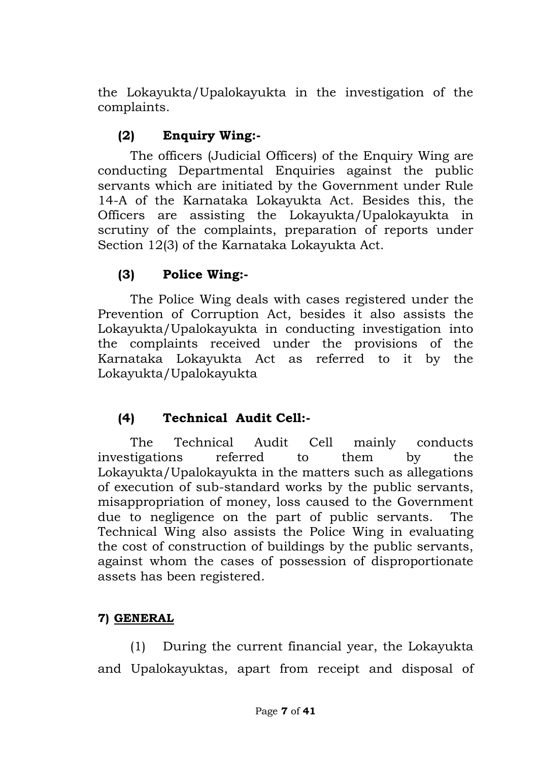the Lokayukta/Upalokayukta in the investigation of the complaints.

# **(2) Enquiry Wing:-**

The officers (Judicial Officers) of the Enquiry Wing are conducting Departmental Enquiries against the public servants which are initiated by the Government under Rule 14-A of the Karnataka Lokayukta Act. Besides this, the Officers are assisting the Lokayukta/Upalokayukta in scrutiny of the complaints, preparation of reports under Section 12(3) of the Karnataka Lokayukta Act.

# **(3) Police Wing:-**

The Police Wing deals with cases registered under the Prevention of Corruption Act, besides it also assists the Lokayukta/Upalokayukta in conducting investigation into the complaints received under the provisions of the Karnataka Lokayukta Act as referred to it by the Lokayukta/Upalokayukta

# **(4) Technical Audit Cell:-**

The Technical Audit Cell mainly conducts investigations referred to them by the Lokayukta/Upalokayukta in the matters such as allegations of execution of sub-standard works by the public servants, misappropriation of money, loss caused to the Government due to negligence on the part of public servants. The Technical Wing also assists the Police Wing in evaluating the cost of construction of buildings by the public servants, against whom the cases of possession of disproportionate assets has been registered.

# **7) GENERAL**

(1) During the current financial year, the Lokayukta and Upalokayuktas, apart from receipt and disposal of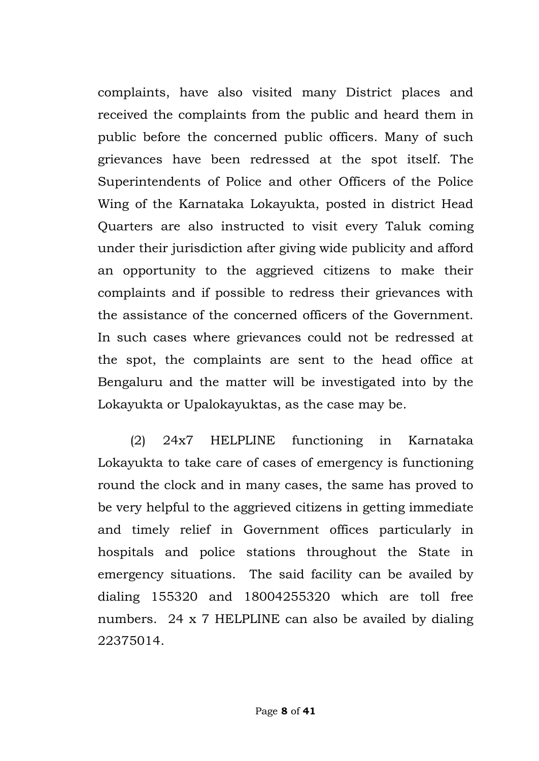complaints, have also visited many District places and received the complaints from the public and heard them in public before the concerned public officers. Many of such grievances have been redressed at the spot itself. The Superintendents of Police and other Officers of the Police Wing of the Karnataka Lokayukta, posted in district Head Quarters are also instructed to visit every Taluk coming under their jurisdiction after giving wide publicity and afford an opportunity to the aggrieved citizens to make their complaints and if possible to redress their grievances with the assistance of the concerned officers of the Government. In such cases where grievances could not be redressed at the spot, the complaints are sent to the head office at Bengaluru and the matter will be investigated into by the Lokayukta or Upalokayuktas, as the case may be.

(2) 24x7 HELPLINE functioning in Karnataka Lokayukta to take care of cases of emergency is functioning round the clock and in many cases, the same has proved to be very helpful to the aggrieved citizens in getting immediate and timely relief in Government offices particularly in hospitals and police stations throughout the State in emergency situations. The said facility can be availed by dialing 155320 and 18004255320 which are toll free numbers. 24 x 7 HELPLINE can also be availed by dialing 22375014.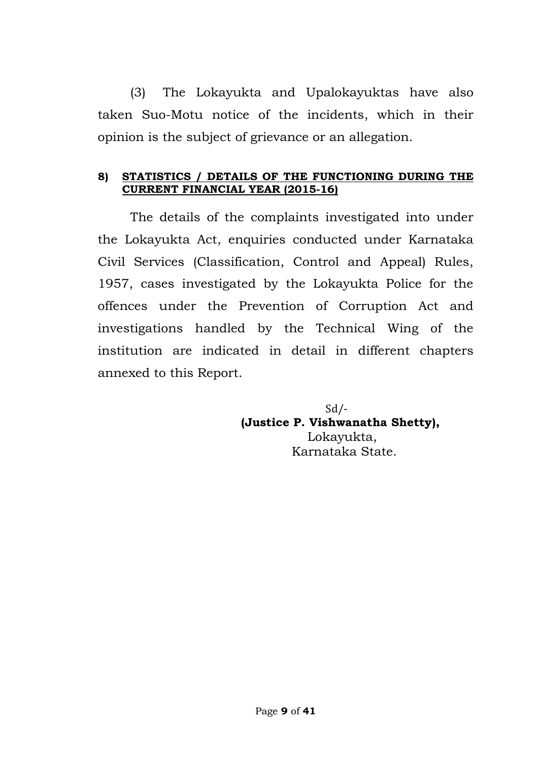(3) The Lokayukta and Upalokayuktas have also taken Suo-Motu notice of the incidents, which in their opinion is the subject of grievance or an allegation.

## **8) STATISTICS / DETAILS OF THE FUNCTIONING DURING THE CURRENT FINANCIAL YEAR (2015-16)**

The details of the complaints investigated into under the Lokayukta Act, enquiries conducted under Karnataka Civil Services (Classification, Control and Appeal) Rules, 1957, cases investigated by the Lokayukta Police for the offences under the Prevention of Corruption Act and investigations handled by the Technical Wing of the institution are indicated in detail in different chapters annexed to this Report.

> $Sd$  /- **(Justice P. Vishwanatha Shetty),** Lokayukta, Karnataka State.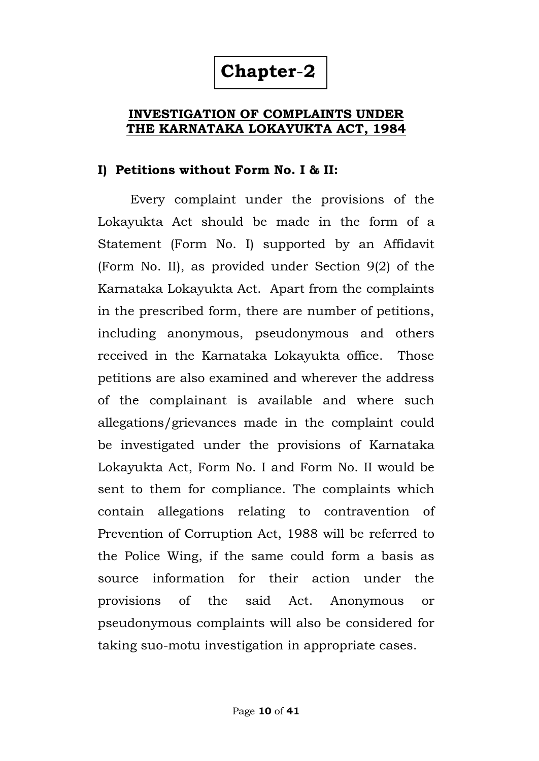# **INVESTIGATION OF COMPLAINTS UNDER THE KARNATAKA LOKAYUKTA ACT, 1984**

# **I) Petitions without Form No. I & II:**

Every complaint under the provisions of the Lokayukta Act should be made in the form of a Statement (Form No. I) supported by an Affidavit (Form No. II), as provided under Section 9(2) of the Karnataka Lokayukta Act. Apart from the complaints in the prescribed form, there are number of petitions, including anonymous, pseudonymous and others received in the Karnataka Lokayukta office. Those petitions are also examined and wherever the address of the complainant is available and where such allegations/grievances made in the complaint could be investigated under the provisions of Karnataka Lokayukta Act, Form No. I and Form No. II would be sent to them for compliance. The complaints which contain allegations relating to contravention of Prevention of Corruption Act, 1988 will be referred to the Police Wing, if the same could form a basis as source information for their action under the provisions of the said Act. Anonymous or pseudonymous complaints will also be considered for taking suo-motu investigation in appropriate cases.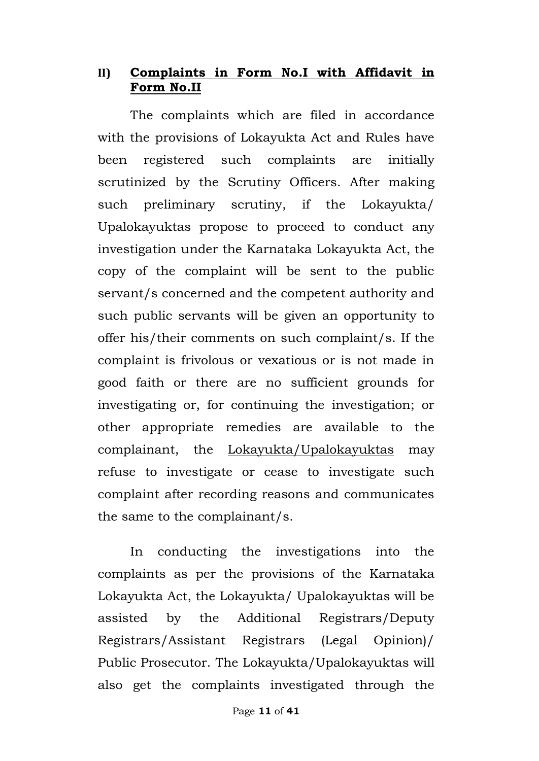# **II) Complaints in Form No.I with Affidavit in Form No.II**

The complaints which are filed in accordance with the provisions of Lokayukta Act and Rules have been registered such complaints are initially scrutinized by the Scrutiny Officers. After making such preliminary scrutiny, if the Lokayukta/ Upalokayuktas propose to proceed to conduct any investigation under the Karnataka Lokayukta Act, the copy of the complaint will be sent to the public servant/s concerned and the competent authority and such public servants will be given an opportunity to offer his/their comments on such complaint/s. If the complaint is frivolous or vexatious or is not made in good faith or there are no sufficient grounds for investigating or, for continuing the investigation; or other appropriate remedies are available to the complainant, the Lokayukta/Upalokayuktas may refuse to investigate or cease to investigate such complaint after recording reasons and communicates the same to the complainant/s.

In conducting the investigations into the complaints as per the provisions of the Karnataka Lokayukta Act, the Lokayukta/ Upalokayuktas will be assisted by the Additional Registrars/Deputy Registrars/Assistant Registrars (Legal Opinion)/ Public Prosecutor. The Lokayukta/Upalokayuktas will also get the complaints investigated through the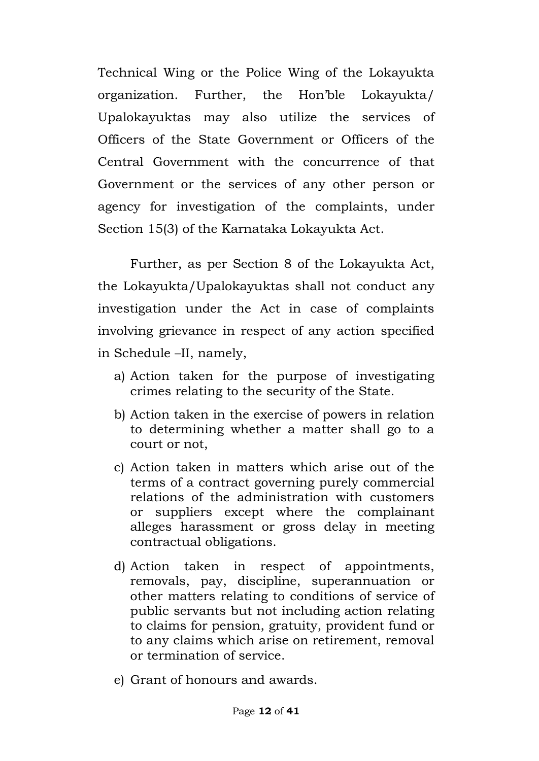Technical Wing or the Police Wing of the Lokayukta organization. Further, the Hon'ble Lokayukta/ Upalokayuktas may also utilize the services of Officers of the State Government or Officers of the Central Government with the concurrence of that Government or the services of any other person or agency for investigation of the complaints, under Section 15(3) of the Karnataka Lokayukta Act.

Further, as per Section 8 of the Lokayukta Act, the Lokayukta/Upalokayuktas shall not conduct any investigation under the Act in case of complaints involving grievance in respect of any action specified in Schedule –II, namely,

- a) Action taken for the purpose of investigating crimes relating to the security of the State.
- b) Action taken in the exercise of powers in relation to determining whether a matter shall go to a court or not,
- c) Action taken in matters which arise out of the terms of a contract governing purely commercial relations of the administration with customers or suppliers except where the complainant alleges harassment or gross delay in meeting contractual obligations.
- d) Action taken in respect of appointments, removals, pay, discipline, superannuation or other matters relating to conditions of service of public servants but not including action relating to claims for pension, gratuity, provident fund or to any claims which arise on retirement, removal or termination of service.
- e) Grant of honours and awards.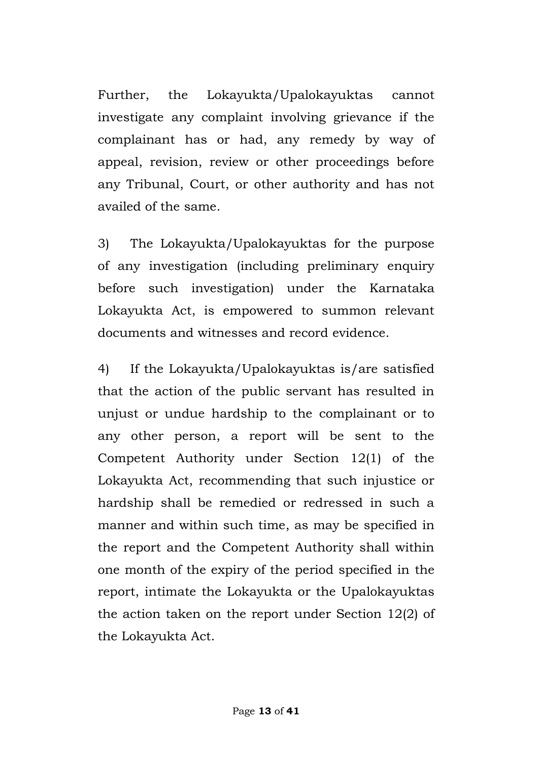Further, the Lokayukta/Upalokayuktas cannot investigate any complaint involving grievance if the complainant has or had, any remedy by way of appeal, revision, review or other proceedings before any Tribunal, Court, or other authority and has not availed of the same.

3) The Lokayukta/Upalokayuktas for the purpose of any investigation (including preliminary enquiry before such investigation) under the Karnataka Lokayukta Act, is empowered to summon relevant documents and witnesses and record evidence.

4) If the Lokayukta/Upalokayuktas is/are satisfied that the action of the public servant has resulted in unjust or undue hardship to the complainant or to any other person, a report will be sent to the Competent Authority under Section 12(1) of the Lokayukta Act, recommending that such injustice or hardship shall be remedied or redressed in such a manner and within such time, as may be specified in the report and the Competent Authority shall within one month of the expiry of the period specified in the report, intimate the Lokayukta or the Upalokayuktas the action taken on the report under Section 12(2) of the Lokayukta Act.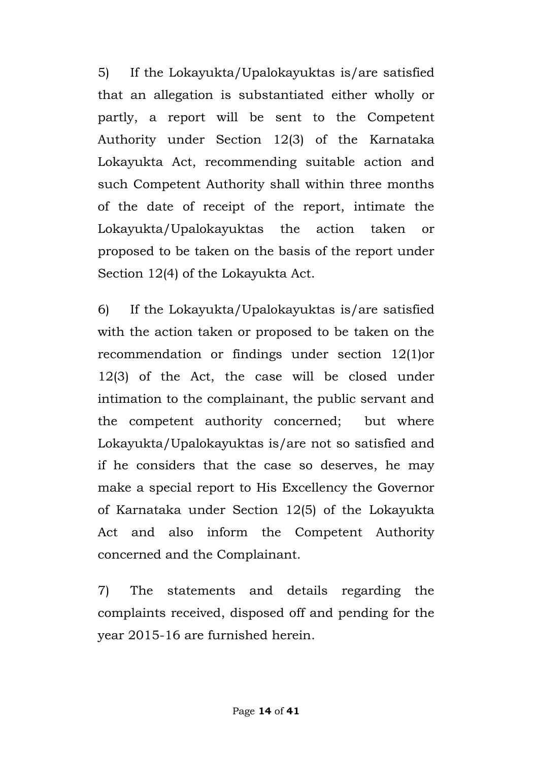5) If the Lokayukta/Upalokayuktas is/are satisfied that an allegation is substantiated either wholly or partly, a report will be sent to the Competent Authority under Section 12(3) of the Karnataka Lokayukta Act, recommending suitable action and such Competent Authority shall within three months of the date of receipt of the report, intimate the Lokayukta/Upalokayuktas the action taken or proposed to be taken on the basis of the report under Section 12(4) of the Lokayukta Act.

6) If the Lokayukta/Upalokayuktas is/are satisfied with the action taken or proposed to be taken on the recommendation or findings under section 12(1)or 12(3) of the Act, the case will be closed under intimation to the complainant, the public servant and the competent authority concerned; but where Lokayukta/Upalokayuktas is/are not so satisfied and if he considers that the case so deserves, he may make a special report to His Excellency the Governor of Karnataka under Section 12(5) of the Lokayukta Act and also inform the Competent Authority concerned and the Complainant.

7) The statements and details regarding the complaints received, disposed off and pending for the year 2015-16 are furnished herein.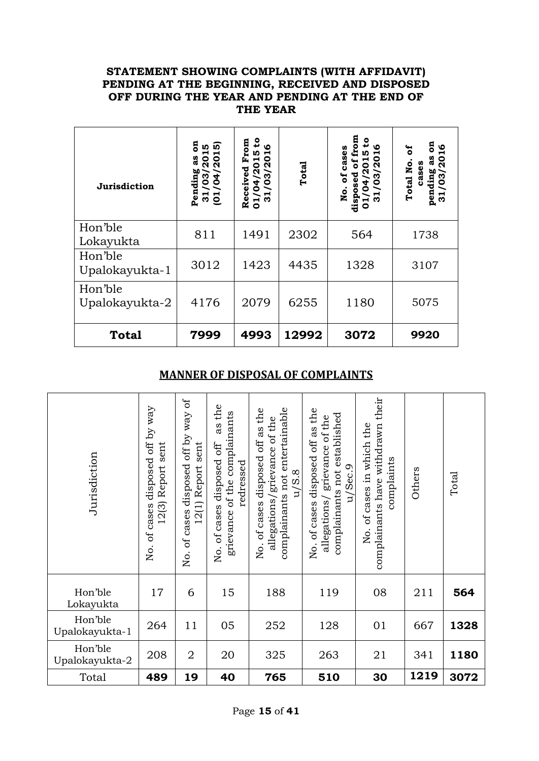#### **STATEMENT SHOWING COMPLAINTS (WITH AFFIDAVIT) PENDING AT THE BEGINNING, RECEIVED AND DISPOSED OFF DURING THE YEAR AND PENDING AT THE END OF THE YEAR**

| Jurisdiction              | 5<br><b>in</b><br><b>IV)</b><br>201<br>201<br>ය<br>ය<br>Pending<br>/03/<br>$\overline{)4}$<br>$\overline{31}$<br>$\overline{0}$ | ٩,<br>From<br>$\boldsymbol{\omega}$<br><b>ID</b><br>Н<br>$\overline{a}$<br>04/201<br>Received<br>$\boldsymbol{3}$<br>⊣<br>$\overline{5}$<br>ო | Total | from<br>೭<br>ഥ<br>cases<br>ю<br>႙<br>ಕ<br>o<br>័<br>ω<br>。<br>Z<br>dis<br>0 | ទី<br>2016<br>ិច<br>3g<br>Total No.<br>cases<br>pending<br>31/03/2 |
|---------------------------|---------------------------------------------------------------------------------------------------------------------------------|-----------------------------------------------------------------------------------------------------------------------------------------------|-------|-----------------------------------------------------------------------------|--------------------------------------------------------------------|
| Hon'ble<br>Lokayukta      | 811                                                                                                                             | 1491                                                                                                                                          | 2302  | 564                                                                         | 1738                                                               |
| Hon'ble<br>Upalokayukta-1 | 3012                                                                                                                            | 1423                                                                                                                                          | 4435  | 1328                                                                        | 3107                                                               |
| Hon'ble<br>Upalokayukta-2 | 4176                                                                                                                            | 2079                                                                                                                                          | 6255  | 1180                                                                        | 5075                                                               |
| <b>Total</b>              | 7999                                                                                                                            | 4993                                                                                                                                          | 12992 | 3072                                                                        | 9920                                                               |

### **MANNER OF DISPOSAL OF COMPLAINTS**

| Jurisdiction              | y way<br>$\overline{0}$<br>sent<br>disposed<br>Report<br>12(3)<br>cases<br>ЪÇ<br>Χo. | ð<br>vay<br>off by<br>sent<br>disposed<br>Report<br>12(1)<br>of cases<br>Χo. | as the<br>grievance of the complainants<br>of cases disposed off<br>redressed<br>Йo. | complainants not entertainable<br>of cases disposed off as the<br>allegations/grievance of the<br>u/S.8<br>Χo. | of cases disposed off as the<br>complainants not established<br>grievance of the<br>/Sec.9<br>F<br>allegations<br>Χo. | their<br>complainants have withdrawn<br>of cases in which the<br>complaints<br>No. | Others | Total |
|---------------------------|--------------------------------------------------------------------------------------|------------------------------------------------------------------------------|--------------------------------------------------------------------------------------|----------------------------------------------------------------------------------------------------------------|-----------------------------------------------------------------------------------------------------------------------|------------------------------------------------------------------------------------|--------|-------|
| Hon'ble<br>Lokayukta      | 17                                                                                   | 6                                                                            | 15                                                                                   | 188                                                                                                            | 119                                                                                                                   | 08                                                                                 | 211    | 564   |
| Hon'ble<br>Upalokayukta-1 | 264                                                                                  | 11                                                                           | 05                                                                                   | 252                                                                                                            | 128                                                                                                                   | 01                                                                                 | 667    | 1328  |
| Hon'ble<br>Upalokayukta-2 | 208                                                                                  | $\overline{2}$                                                               | 20                                                                                   | 325                                                                                                            | 263                                                                                                                   | 21                                                                                 | 341    | 1180  |
| Total                     | 489                                                                                  | 19                                                                           | 40                                                                                   | 765                                                                                                            | 510                                                                                                                   | 30                                                                                 | 1219   | 3072  |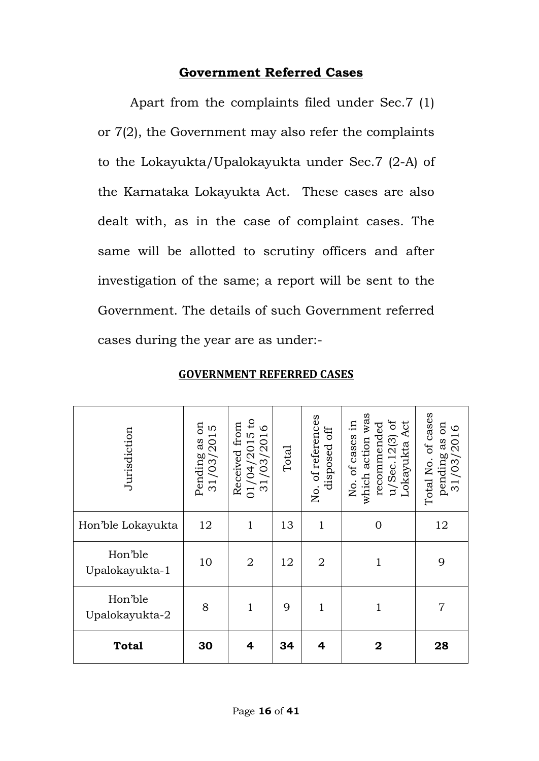# **Government Referred Cases**

Apart from the complaints filed under Sec.7 (1) or 7(2), the Government may also refer the complaints to the Lokayukta/Upalokayukta under Sec.7 (2-A) of the Karnataka Lokayukta Act. These cases are also dealt with, as in the case of complaint cases. The same will be allotted to scrutiny officers and after investigation of the same; a report will be sent to the Government. The details of such Government referred cases during the year are as under:-

| Jurisdiction              | $\sin$<br>LO<br>31/03/201<br>Pending as | $\mathsf{c}$<br>from<br>$\circ$<br>$01/04/2015$<br>31/03/2016<br>Received | Total | No. of references<br>off<br>disposed | which action was<br>$u/$ Sec. 12(3) of<br>묘.<br>Act<br>recommended<br>No. of cases<br>Lokayukta | Total No. of cases<br>as on<br>pending as on<br>$31/03/2016$ |
|---------------------------|-----------------------------------------|---------------------------------------------------------------------------|-------|--------------------------------------|-------------------------------------------------------------------------------------------------|--------------------------------------------------------------|
| Hon'ble Lokayukta         | 12                                      | $\mathbf{1}$                                                              | 13    | $\mathbf{1}$                         | $\overline{0}$                                                                                  | 12                                                           |
| Hon'ble<br>Upalokayukta-1 | 10                                      | $\overline{2}$                                                            | 12    | $\overline{2}$                       | $\mathbf{1}$                                                                                    | 9                                                            |
| Hon'ble<br>Upalokayukta-2 | 8                                       | $\mathbf{1}$                                                              | 9     | $\mathbf{1}$                         | $\mathbf{1}$                                                                                    | $\overline{7}$                                               |
| <b>Total</b>              | 30                                      | 4                                                                         | 34    | 4                                    | 2                                                                                               | 28                                                           |

## **GOVERNMENT REFERRED CASES**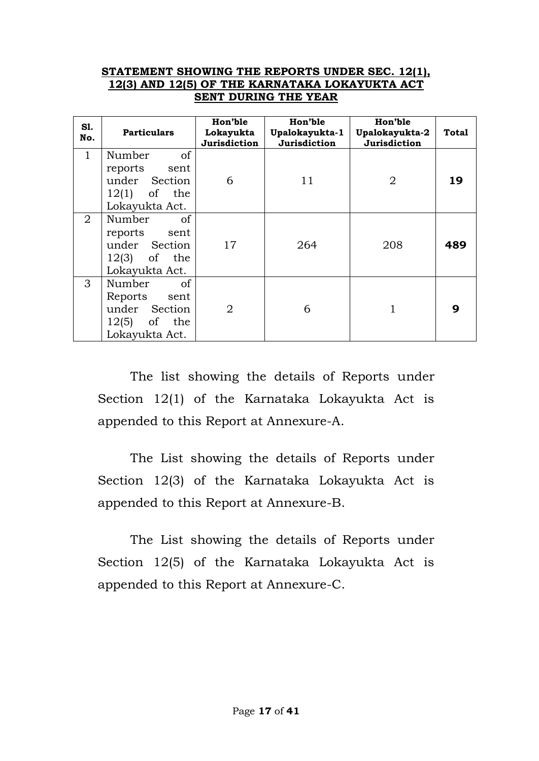#### **STATEMENT SHOWING THE REPORTS UNDER SEC. 12(1), 12(3) AND 12(5) OF THE KARNATAKA LOKAYUKTA ACT SENT DURING THE YEAR**

| S1.<br>No.     | <b>Particulars</b>                                                                           | Hon'ble<br>Lokayukta<br>Jurisdiction | Hon'ble<br>Upalokayukta-1<br>Jurisdiction | Hon'ble<br>Upalokayukta-2<br>Jurisdiction | <b>Total</b> |
|----------------|----------------------------------------------------------------------------------------------|--------------------------------------|-------------------------------------------|-------------------------------------------|--------------|
| $\mathbf{1}$   | of<br>Number<br>reports<br>sent<br>under Section                                             | 6                                    | 11                                        | 2                                         | 19           |
|                | $12(1)$ of the<br>Lokayukta Act.                                                             |                                      |                                           |                                           |              |
| $\overline{2}$ | Number<br><sub>of</sub><br>reports sent<br>under Section<br>$12(3)$ of the<br>Lokayukta Act. | 17                                   | 264                                       | 208                                       | 489          |
| 3              | Number<br><sub>of</sub><br>Reports sent<br>under Section<br>$12(5)$ of the<br>Lokayukta Act. | $\overline{2}$                       | 6                                         |                                           | q            |

The list showing the details of Reports under Section 12(1) of the Karnataka Lokayukta Act is appended to this Report at Annexure-A.

The List showing the details of Reports under Section 12(3) of the Karnataka Lokayukta Act is appended to this Report at Annexure-B.

The List showing the details of Reports under Section 12(5) of the Karnataka Lokayukta Act is appended to this Report at Annexure-C.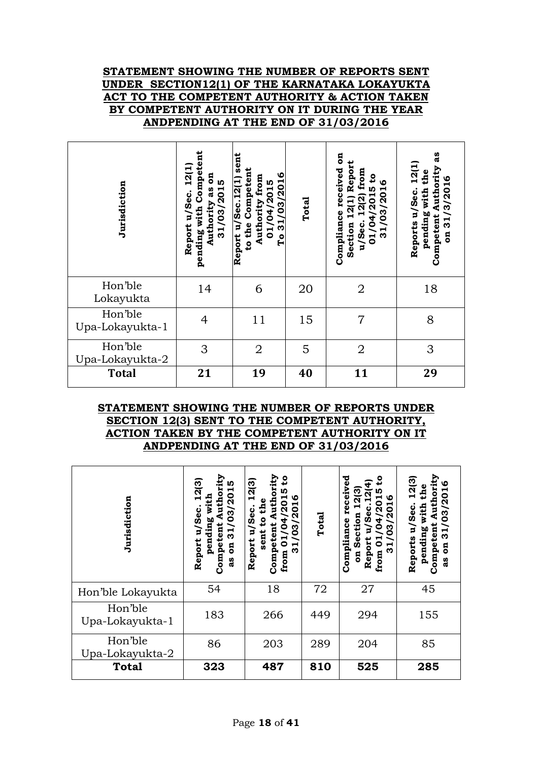#### **STATEMENT SHOWING THE NUMBER OF REPORTS SENT UNDER SECTION12(1) OF THE KARNATAKA LOKAYUKTA ACT TO THE COMPETENT AUTHORITY & ACTION TAKEN BY COMPETENT AUTHORITY ON IT DURING THE YEAR ANDPENDING AT THE END OF 31/03/2016**

| Jurisdiction               | Competent<br>12(1<br>ទី<br>31/03/2015<br>as<br>Report u/Sec.<br>Authority<br>pending with | sent<br>to the Competent<br>31/03/2016<br>Authority from<br>Report u/Sec.12(1)<br>01/04/2015<br>ρT | Total | ទី<br>Report<br>Compliance received<br>12(2) from<br>٩ŧ<br>ဖ<br>/2015<br>03/201<br>12(1)<br>/04<br>Section<br>u/Sec.<br>$\overline{1}$<br>$\overline{1}$<br>က | as<br>12(1)<br>Competent Authority<br>the<br>31/3/2016<br>pending with<br>Reports u/Sec.<br>$\overline{\mathbf{a}}$ |
|----------------------------|-------------------------------------------------------------------------------------------|----------------------------------------------------------------------------------------------------|-------|---------------------------------------------------------------------------------------------------------------------------------------------------------------|---------------------------------------------------------------------------------------------------------------------|
| Hon'ble<br>Lokayukta       | 14                                                                                        | 6                                                                                                  | 20    | $\overline{2}$                                                                                                                                                | 18                                                                                                                  |
| Hon'ble<br>Upa-Lokayukta-1 | $\overline{4}$                                                                            | 11                                                                                                 | 15    | 7                                                                                                                                                             | 8                                                                                                                   |
| Hon'ble<br>Upa-Lokayukta-2 | 3                                                                                         | $\overline{2}$                                                                                     | 5     | $\overline{2}$                                                                                                                                                | 3                                                                                                                   |
| <b>Total</b>               | 21                                                                                        | 19                                                                                                 | 40    | 11                                                                                                                                                            | 29                                                                                                                  |

#### **STATEMENT SHOWING THE NUMBER OF REPORTS UNDER SECTION 12(3) SENT TO THE COMPETENT AUTHORITY, ACTION TAKEN BY THE COMPETENT AUTHORITY ON IT ANDPENDING AT THE END OF 31/03/2016**

| Jurisdiction               | Authority<br>12(3)<br><b>IV</b><br>31/03/201<br>with<br>Report u/Sec.<br>pending<br>Competent<br>$\overline{a}$<br>3g | uthority<br>2<br>12(3)<br><b>IN</b><br>৩<br>ە<br>Et<br>H<br>႙<br>u/Sec.<br>0<br>N.<br><u>ទ</u><br>ო<br>ម្ព<br>sent<br>0<br>Report<br>Compet<br>ო<br>from | Total | ್ಥಾ<br>ceiv<br>৩<br>ğ<br>20<br>ction<br>Compliance<br>ო<br>5<br>っ<br>ِ<br>وي<br>Report<br>0<br>⊣<br>ო<br>ã<br>from | 12(3)<br>ဖ<br>Authori<br>the<br>03/201<br>with<br>u/Sec.<br>pending<br>Competen<br>က<br>Reports<br>ទី<br>ಜಿ |
|----------------------------|-----------------------------------------------------------------------------------------------------------------------|----------------------------------------------------------------------------------------------------------------------------------------------------------|-------|--------------------------------------------------------------------------------------------------------------------|-------------------------------------------------------------------------------------------------------------|
| Hon'ble Lokayukta          | 54                                                                                                                    | 18                                                                                                                                                       | 72    | 27                                                                                                                 | 45                                                                                                          |
| Hon'ble<br>Upa-Lokayukta-1 | 183                                                                                                                   | 266                                                                                                                                                      | 449   | 294                                                                                                                | 155                                                                                                         |
| Hon'ble<br>Upa-Lokayukta-2 | 86                                                                                                                    | 203                                                                                                                                                      | 289   | 204                                                                                                                | 85                                                                                                          |
| <b>Total</b>               | 323                                                                                                                   | 487                                                                                                                                                      | 810   | 525                                                                                                                | 285                                                                                                         |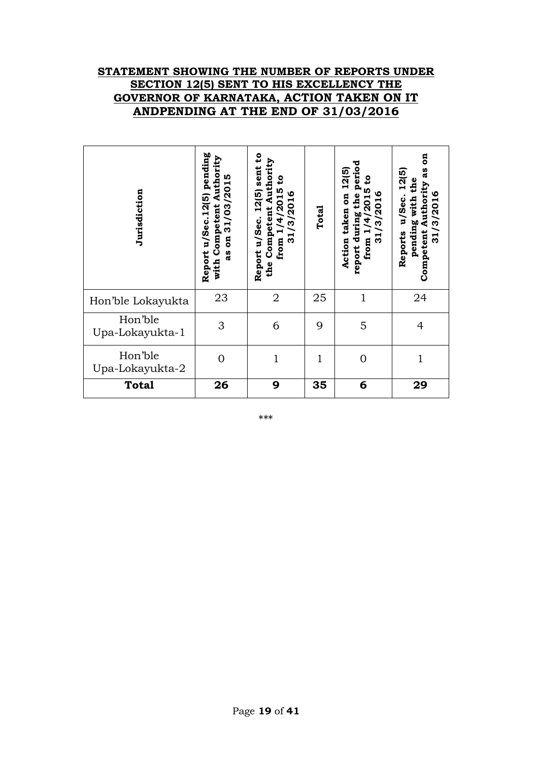#### **STATEMENT SHOWING THE NUMBER OF REPORTS UNDER SECTION 12(5) SENT TO HIS EXCELLENCY THE GOVERNOR OF KARNATAKA, ACTION TAKEN ON IT ANDPENDING AT THE END OF 31/03/2016**

| Jurisdiction               | pending<br>with Competent Authority<br>m<br>31/03/201<br>Report u/Sec.12(5)<br>ទី<br>as | $\mathbf{e}$<br>Authority<br>sent<br>ទិ<br>/4/2015<br>12(5)<br>৩<br>/3/201<br>Competent<br>Report u/Sec.<br>$\vec{r}$<br>$\blacksquare$<br>from<br>ო<br>the | Total | period<br>12(5)<br>ទិ<br><b>ID</b><br>৩<br>the<br>$\mathbf{a}$<br>/3/201<br>$\overline{a}$<br>taken<br>report during<br>4<br>$\blacksquare$<br>ನ್ನ<br>Action<br>from | ã<br>as<br>12(5)<br>pending with the<br>Authority<br>31/3/2016<br>u/Sec.<br>Competent<br>Reports |
|----------------------------|-----------------------------------------------------------------------------------------|-------------------------------------------------------------------------------------------------------------------------------------------------------------|-------|----------------------------------------------------------------------------------------------------------------------------------------------------------------------|--------------------------------------------------------------------------------------------------|
| Hon'ble Lokayukta          | 23                                                                                      | $\overline{2}$                                                                                                                                              | 25    | $\mathbf{1}$                                                                                                                                                         | 24                                                                                               |
| Hon'ble<br>Upa-Lokayukta-1 | 3                                                                                       | 6                                                                                                                                                           | 9     | 5                                                                                                                                                                    | $\overline{4}$                                                                                   |
| Hon'ble<br>Upa-Lokayukta-2 | 0                                                                                       | $\mathbf{1}$                                                                                                                                                | 1     | $\Omega$                                                                                                                                                             | 1                                                                                                |
| <b>Total</b>               | 26                                                                                      | 9                                                                                                                                                           | 35    | 6                                                                                                                                                                    | 29                                                                                               |

\*\*\*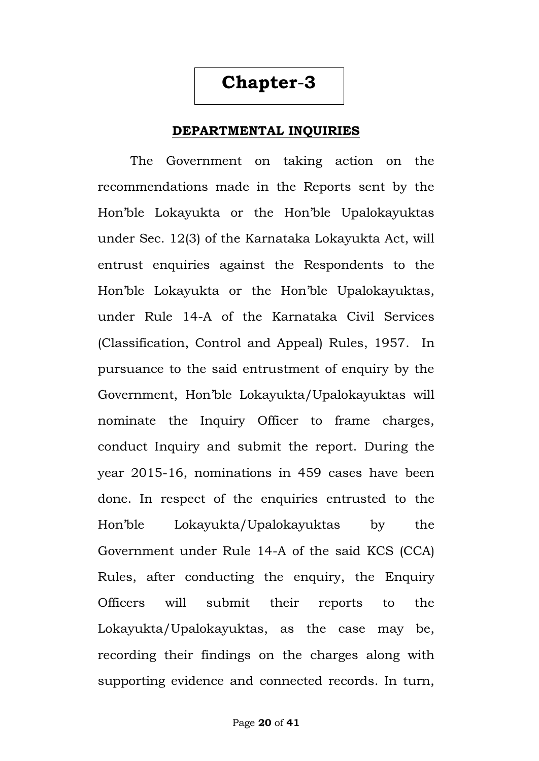#### **DEPARTMENTAL INQUIRIES**

The Government on taking action on the recommendations made in the Reports sent by the Hon'ble Lokayukta or the Hon'ble Upalokayuktas under Sec. 12(3) of the Karnataka Lokayukta Act, will entrust enquiries against the Respondents to the Hon'ble Lokayukta or the Hon'ble Upalokayuktas, under Rule 14-A of the Karnataka Civil Services (Classification, Control and Appeal) Rules, 1957. In pursuance to the said entrustment of enquiry by the Government, Hon'ble Lokayukta/Upalokayuktas will nominate the Inquiry Officer to frame charges, conduct Inquiry and submit the report. During the year 2015-16, nominations in 459 cases have been done. In respect of the enquiries entrusted to the Hon'ble Lokayukta/Upalokayuktas by the Government under Rule 14-A of the said KCS (CCA) Rules, after conducting the enquiry, the Enquiry Officers will submit their reports to the Lokayukta/Upalokayuktas, as the case may be, recording their findings on the charges along with supporting evidence and connected records. In turn,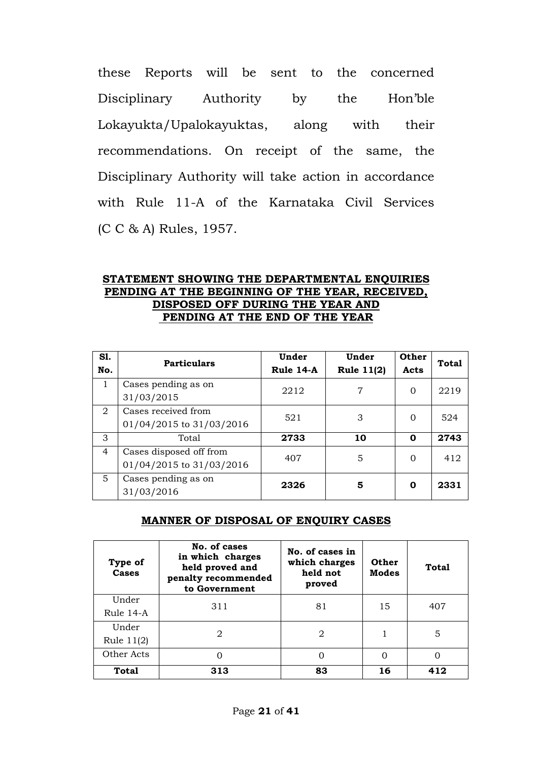these Reports will be sent to the concerned Disciplinary Authority by the Hon'ble Lokayukta/Upalokayuktas, along with their recommendations. On receipt of the same, the Disciplinary Authority will take action in accordance with Rule 11-A of the Karnataka Civil Services (C C & A) Rules, 1957.

#### **STATEMENT SHOWING THE DEPARTMENTAL ENQUIRIES PENDING AT THE BEGINNING OF THE YEAR, RECEIVED, DISPOSED OFF DURING THE YEAR AND PENDING AT THE END OF THE YEAR**

| S1.<br>No.     | <b>Particulars</b>                                  | Under<br>Rule 14-A | Under<br><b>Rule 11(2)</b> | Other<br>Acts | <b>Total</b> |
|----------------|-----------------------------------------------------|--------------------|----------------------------|---------------|--------------|
| 1              | Cases pending as on<br>31/03/2015                   | 2212               | 7                          | $\Omega$      | 2219         |
| 2              | Cases received from<br>01/04/2015 to 31/03/2016     | 521                | 3                          | $\Omega$      | 524          |
| 3              | Total                                               | 2733               | 10                         | 0             | 2743         |
| $\overline{4}$ | Cases disposed off from<br>01/04/2015 to 31/03/2016 | 407                | 5                          | $\Omega$      | 412          |
| 5              | Cases pending as on<br>31/03/2016                   | 2326               | 5                          | 0             | 2331         |

#### **MANNER OF DISPOSAL OF ENQUIRY CASES**

| Type of<br><b>Cases</b> | No. of cases<br>in which charges<br>held proved and<br>penalty recommended<br>to Government | No. of cases in<br>which charges<br>held not<br>proved | <b>Other</b><br><b>Modes</b> | Total |
|-------------------------|---------------------------------------------------------------------------------------------|--------------------------------------------------------|------------------------------|-------|
| Under<br>Rule 14-A      | 311                                                                                         | 81                                                     | 15                           | 407   |
| Under<br>Rule $11(2)$   | 2                                                                                           | 2                                                      |                              | 5     |
| Other Acts              |                                                                                             | 0                                                      | 0                            | 0     |
| Total                   | 313                                                                                         | 83                                                     | 16                           | 412   |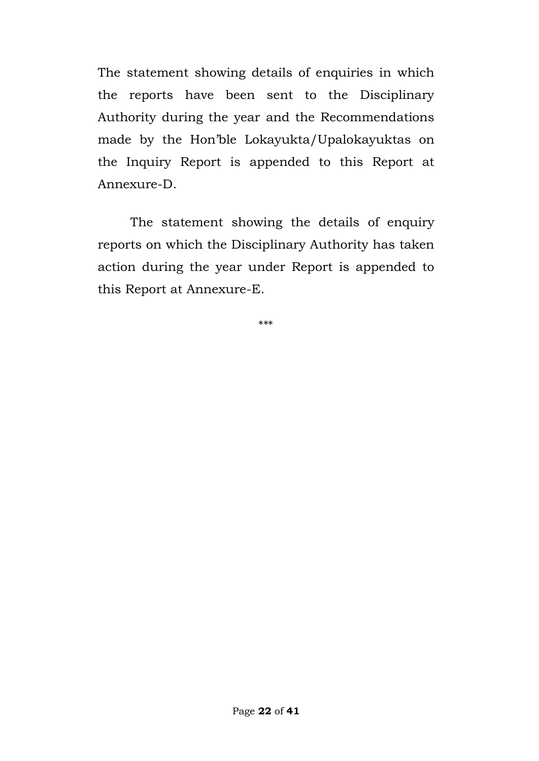The statement showing details of enquiries in which the reports have been sent to the Disciplinary Authority during the year and the Recommendations made by the Hon'ble Lokayukta/Upalokayuktas on the Inquiry Report is appended to this Report at Annexure-D.

The statement showing the details of enquiry reports on which the Disciplinary Authority has taken action during the year under Report is appended to this Report at Annexure-E.

\*\*\*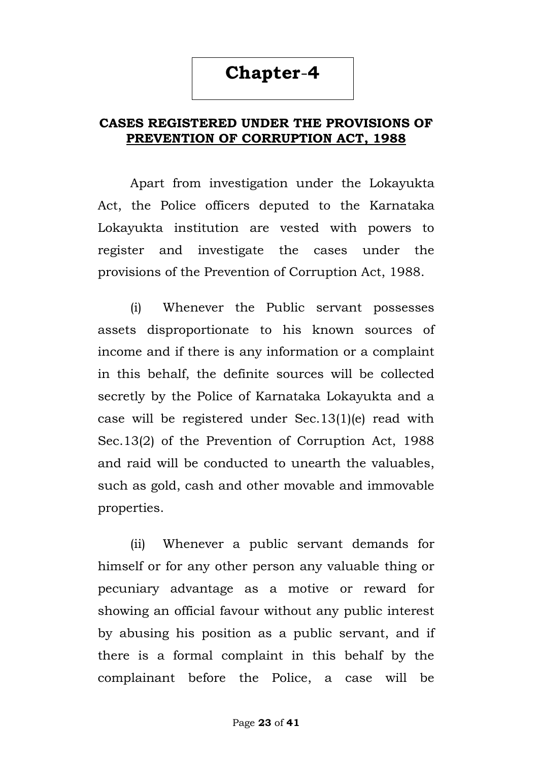# **CASES REGISTERED UNDER THE PROVISIONS OF PREVENTION OF CORRUPTION ACT, 1988**

Apart from investigation under the Lokayukta Act, the Police officers deputed to the Karnataka Lokayukta institution are vested with powers to register and investigate the cases under the provisions of the Prevention of Corruption Act, 1988.

(i) Whenever the Public servant possesses assets disproportionate to his known sources of income and if there is any information or a complaint in this behalf, the definite sources will be collected secretly by the Police of Karnataka Lokayukta and a case will be registered under Sec.13(1)(e) read with Sec.13(2) of the Prevention of Corruption Act, 1988 and raid will be conducted to unearth the valuables, such as gold, cash and other movable and immovable properties.

(ii) Whenever a public servant demands for himself or for any other person any valuable thing or pecuniary advantage as a motive or reward for showing an official favour without any public interest by abusing his position as a public servant, and if there is a formal complaint in this behalf by the complainant before the Police, a case will be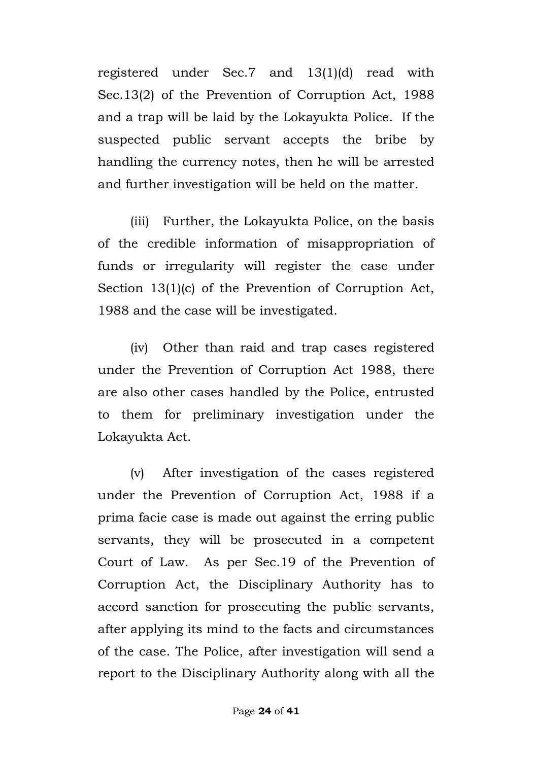registered under Sec.7 and 13(1)(d) read with Sec.13(2) of the Prevention of Corruption Act, 1988 and a trap will be laid by the Lokayukta Police. If the suspected public servant accepts the bribe by handling the currency notes, then he will be arrested and further investigation will be held on the matter.

(iii) Further, the Lokayukta Police, on the basis of the credible information of misappropriation of funds or irregularity will register the case under Section 13(1)(c) of the Prevention of Corruption Act, 1988 and the case will be investigated.

(iv) Other than raid and trap cases registered under the Prevention of Corruption Act 1988, there are also other cases handled by the Police, entrusted to them for preliminary investigation under the Lokayukta Act.

(v) After investigation of the cases registered under the Prevention of Corruption Act, 1988 if a prima facie case is made out against the erring public servants, they will be prosecuted in a competent Court of Law. As per Sec.19 of the Prevention of Corruption Act, the Disciplinary Authority has to accord sanction for prosecuting the public servants, after applying its mind to the facts and circumstances of the case. The Police, after investigation will send a report to the Disciplinary Authority along with all the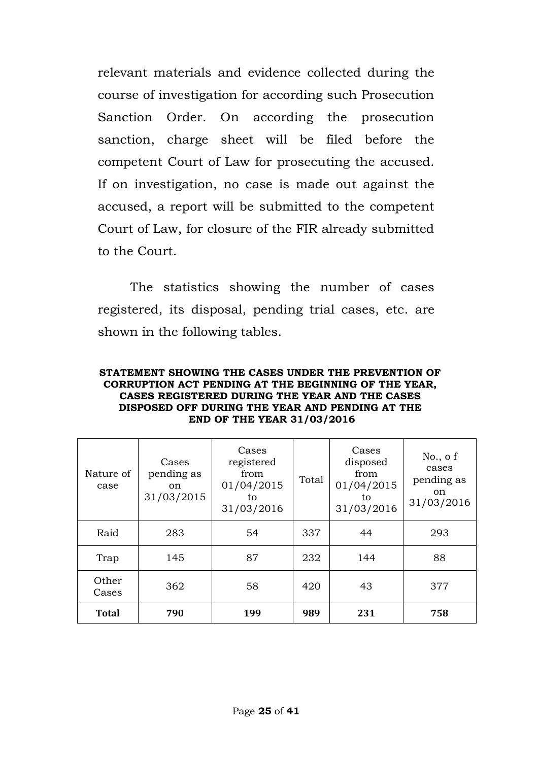relevant materials and evidence collected during the course of investigation for according such Prosecution Sanction Order. On according the prosecution sanction, charge sheet will be filed before the competent Court of Law for prosecuting the accused. If on investigation, no case is made out against the accused, a report will be submitted to the competent Court of Law, for closure of the FIR already submitted to the Court.

The statistics showing the number of cases registered, its disposal, pending trial cases, etc. are shown in the following tables.

| STATEMENT SHOWING THE CASES UNDER THE PREVENTION OF  |
|------------------------------------------------------|
| CORRUPTION ACT PENDING AT THE BEGINNING OF THE YEAR, |
| CASES REGISTERED DURING THE YEAR AND THE CASES       |
| DISPOSED OFF DURING THE YEAR AND PENDING AT THE      |
| <b>END OF THE YEAR 31/03/2016</b>                    |

| Nature of<br>case | Cases<br>pending as<br>on.<br>31/03/2015 | Cases<br>registered<br>from<br>01/04/2015<br>to<br>31/03/2016 | Total | Cases<br>disposed<br>from<br>01/04/2015<br>to<br>31/03/2016 | No., of<br>cases<br>pending as<br>on<br>31/03/2016 |
|-------------------|------------------------------------------|---------------------------------------------------------------|-------|-------------------------------------------------------------|----------------------------------------------------|
| Raid              | 283                                      | 54                                                            | 337   | 44                                                          | 293                                                |
| Trap              | 145                                      | 87                                                            | 232   | 144                                                         | 88                                                 |
| Other<br>Cases    | 362                                      | 58                                                            | 420   | 43                                                          | 377                                                |
| <b>Total</b>      | 790                                      | 199                                                           | 989   | 231                                                         | 758                                                |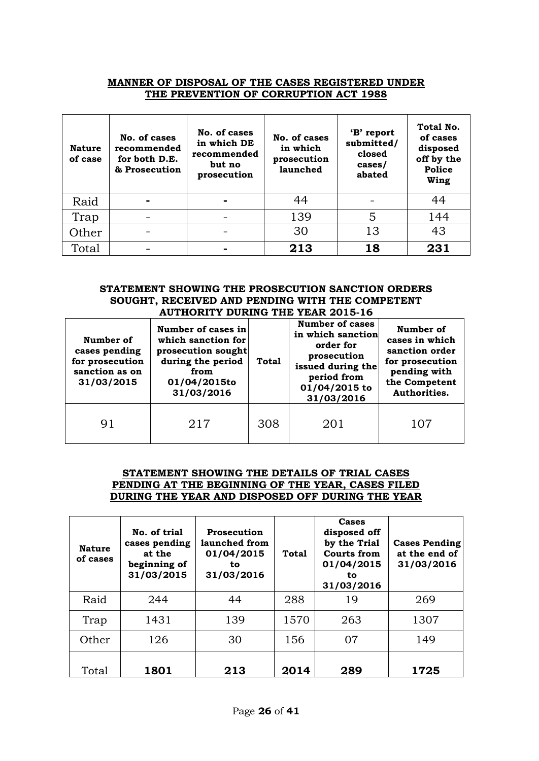#### **MANNER OF DISPOSAL OF THE CASES REGISTERED UNDER THE PREVENTION OF CORRUPTION ACT 1988**

| <b>Nature</b><br>of case | No. of cases<br>recommended<br>for both D.E.<br>& Prosecution | No. of cases<br>in which DE<br>recommended<br>but no<br>prosecution | No. of cases<br>in which<br>prosecution<br>launched | 'B' report<br>submitted/<br>closed<br>cases/<br>abated | Total No.<br>of cases<br>disposed<br>off by the<br><b>Police</b><br>Wing |
|--------------------------|---------------------------------------------------------------|---------------------------------------------------------------------|-----------------------------------------------------|--------------------------------------------------------|--------------------------------------------------------------------------|
| Raid                     |                                                               |                                                                     | 44                                                  |                                                        | 44                                                                       |
| Trap                     |                                                               |                                                                     | 139                                                 | 5                                                      | 144                                                                      |
| Other                    |                                                               |                                                                     | 30                                                  | 13                                                     | 43                                                                       |
| Total                    |                                                               |                                                                     | 213                                                 | 18                                                     | 231                                                                      |

#### **STATEMENT SHOWING THE PROSECUTION SANCTION ORDERS SOUGHT, RECEIVED AND PENDING WITH THE COMPETENT AUTHORITY DURING THE YEAR 2015-16**

| Number of<br>cases pending<br>for prosecution<br>sanction as on<br>31/03/2015 | Number of cases in<br>which sanction for<br>prosecution sought<br>during the period<br>from<br>01/04/2015to<br>31/03/2016 | <b>Total</b> | <b>Number of cases</b><br>in which sanction<br>order for<br>prosecution<br>issued during the<br>period from<br>01/04/2015 to<br>31/03/2016 | Number of<br>cases in which<br>sanction order<br>for prosecution<br>pending with<br>the Competent<br>Authorities. |
|-------------------------------------------------------------------------------|---------------------------------------------------------------------------------------------------------------------------|--------------|--------------------------------------------------------------------------------------------------------------------------------------------|-------------------------------------------------------------------------------------------------------------------|
| 91                                                                            | 217                                                                                                                       | 308          | 201                                                                                                                                        | 107                                                                                                               |

#### **STATEMENT SHOWING THE DETAILS OF TRIAL CASES PENDING AT THE BEGINNING OF THE YEAR, CASES FILED DURING THE YEAR AND DISPOSED OFF DURING THE YEAR**

| <b>Nature</b><br>of cases | No. of trial<br>cases pending<br>at the<br>beginning of<br>31/03/2015 | <b>Prosecution</b><br>launched from<br>01/04/2015<br>to<br>31/03/2016 | Total | <b>Cases</b><br>disposed off<br>by the Trial<br><b>Courts from</b><br>01/04/2015<br>to<br>31/03/2016 | <b>Cases Pending</b><br>at the end of<br>31/03/2016 |
|---------------------------|-----------------------------------------------------------------------|-----------------------------------------------------------------------|-------|------------------------------------------------------------------------------------------------------|-----------------------------------------------------|
| Raid                      | 244                                                                   | 44                                                                    | 288   | 19                                                                                                   | 269                                                 |
| Trap                      | 1431                                                                  | 139                                                                   | 1570  | 263                                                                                                  | 1307                                                |
| Other                     | 126                                                                   | 30                                                                    | 156   | 07                                                                                                   | 149                                                 |
| Total                     | 1801                                                                  | 213                                                                   | 2014  | 289                                                                                                  | 1725                                                |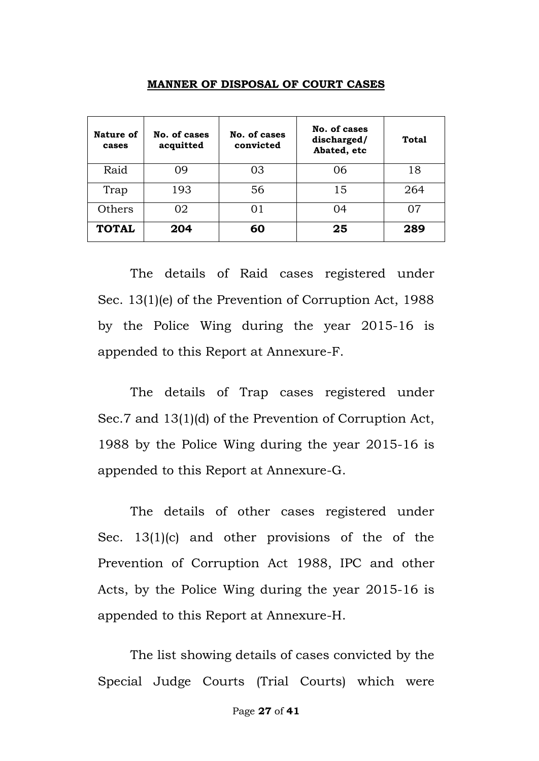#### **MANNER OF DISPOSAL OF COURT CASES**

| Nature of<br>cases | No. of cases<br>acquitted | No. of cases<br>convicted | No. of cases<br>discharged/<br>Abated, etc | <b>Total</b> |
|--------------------|---------------------------|---------------------------|--------------------------------------------|--------------|
| Raid               | 09                        | 03                        | 06                                         | 18           |
| Trap               | 193                       | 56                        | 15                                         | 264          |
| Others             | 02                        |                           | 04                                         | በ7           |
| <b>TOTAL</b>       | 204                       | 60                        | 25                                         | 289          |

The details of Raid cases registered under Sec. 13(1)(e) of the Prevention of Corruption Act, 1988 by the Police Wing during the year 2015-16 is appended to this Report at Annexure-F.

The details of Trap cases registered under Sec.7 and 13(1)(d) of the Prevention of Corruption Act, 1988 by the Police Wing during the year 2015-16 is appended to this Report at Annexure-G.

The details of other cases registered under Sec. 13(1)(c) and other provisions of the of the Prevention of Corruption Act 1988, IPC and other Acts, by the Police Wing during the year 2015-16 is appended to this Report at Annexure-H.

The list showing details of cases convicted by the Special Judge Courts (Trial Courts) which were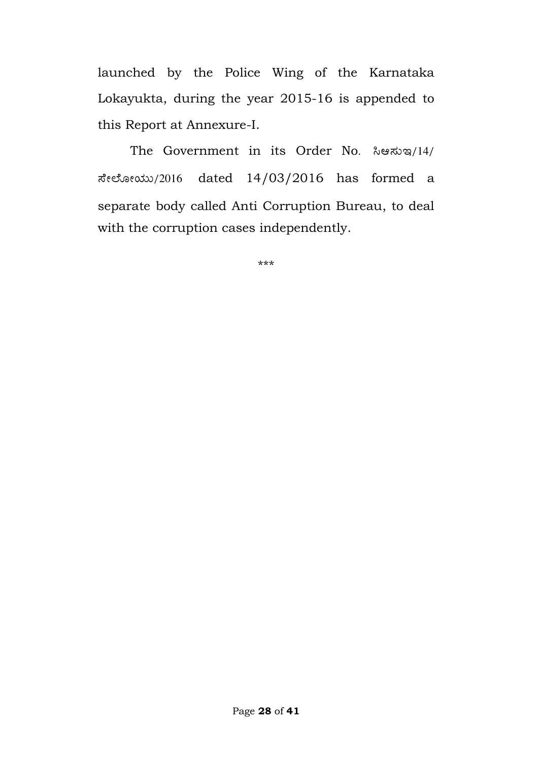launched by the Police Wing of the Karnataka Lokayukta, during the year 2015-16 is appended to this Report at Annexure-I.

The Government in its Order No. ಸಿಆಸುಇ/14/ ಸೇಲೋಯು/2016 dated  $14/03/2016$  has formed a separate body called Anti Corruption Bureau, to deal with the corruption cases independently.

\*\*\*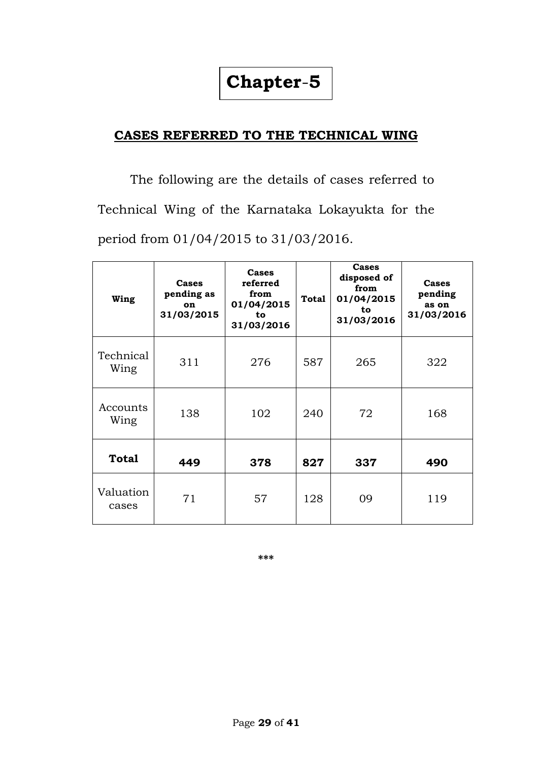# **CASES REFERRED TO THE TECHNICAL WING**

The following are the details of cases referred to Technical Wing of the Karnataka Lokayukta for the period from 01/04/2015 to 31/03/2016.

| Wing               | Cases<br>pending as<br>on<br>31/03/2015 | Cases<br>referred<br>from<br>01/04/2015<br>to<br>31/03/2016 | Total | Cases<br>disposed of<br>from<br>01/04/2015<br>to<br>31/03/2016 | Cases<br>pending<br>as on<br>31/03/2016 |
|--------------------|-----------------------------------------|-------------------------------------------------------------|-------|----------------------------------------------------------------|-----------------------------------------|
| Technical<br>Wing  | 311                                     | 276                                                         | 587   | 265                                                            | 322                                     |
| Accounts<br>Wing   | 138                                     | 102                                                         | 240   | 72                                                             | 168                                     |
| <b>Total</b>       | 449                                     | 378                                                         | 827   | 337                                                            | 490                                     |
| Valuation<br>cases | 71                                      | 57                                                          | 128   | 09                                                             | 119                                     |

**\*\*\***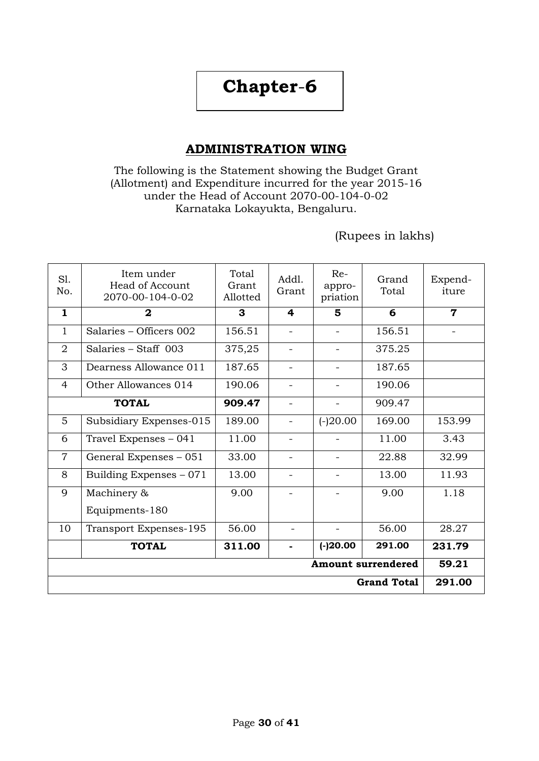# **ADMINISTRATION WING**

#### The following is the Statement showing the Budget Grant (Allotment) and Expenditure incurred for the year 2015-16 under the Head of Account 2070-00-104-0-02 Karnataka Lokayukta, Bengaluru.

## (Rupees in lakhs)

| SI.<br>No.                | Item under<br>Head of Account<br>2070-00-104-0-02 | Total<br>Grant<br>Allotted | Addl.<br>Grant           | $Re-$<br>appro-<br>priation | Grand<br>Total     | Expend-<br>iture         |
|---------------------------|---------------------------------------------------|----------------------------|--------------------------|-----------------------------|--------------------|--------------------------|
| $\mathbf{1}$              | $\mathbf{2}$                                      | 3                          | 4                        | 5                           | 6                  | $\mathbf 7$              |
| 1                         | Salaries - Officers 002                           | 156.51                     | $\overline{\phantom{a}}$ | $\overline{\phantom{a}}$    | 156.51             | $\overline{\phantom{a}}$ |
| $\overline{2}$            | Salaries - Staff 003                              | 375,25                     | $\overline{\phantom{a}}$ | $\overline{\phantom{a}}$    | 375.25             |                          |
| 3                         | Dearness Allowance 011                            | 187.65                     | $\overline{\phantom{0}}$ | $\overline{\phantom{0}}$    | 187.65             |                          |
| 4                         | Other Allowances 014                              | 190.06                     |                          |                             | 190.06             |                          |
|                           | <b>TOTAL</b>                                      | 909.47                     |                          |                             | 909.47             |                          |
| 5                         | Subsidiary Expenses-015                           | 189.00                     | $\overline{\phantom{a}}$ | $(-)20.00$                  | 169.00             | 153.99                   |
| 6                         | Travel Expenses - 041                             | 11.00                      |                          |                             | 11.00              | 3.43                     |
| $\overline{7}$            | General Expenses - 051                            | 33.00                      |                          |                             | 22.88              | 32.99                    |
| 8                         | Building Expenses - 071                           | 13.00                      |                          |                             | 13.00              | 11.93                    |
| 9                         | Machinery &                                       | 9.00                       |                          |                             | 9.00               | 1.18                     |
|                           | Equipments-180                                    |                            |                          |                             |                    |                          |
| 10                        | Transport Expenses-195                            | 56.00                      |                          |                             | 56.00              | 28.27                    |
|                           | <b>TOTAL</b>                                      | 311.00                     |                          | $(-)20.00$                  | 291.00             | 231.79                   |
| <b>Amount surrendered</b> |                                                   |                            |                          |                             |                    |                          |
|                           |                                                   |                            |                          |                             | <b>Grand Total</b> | 291.00                   |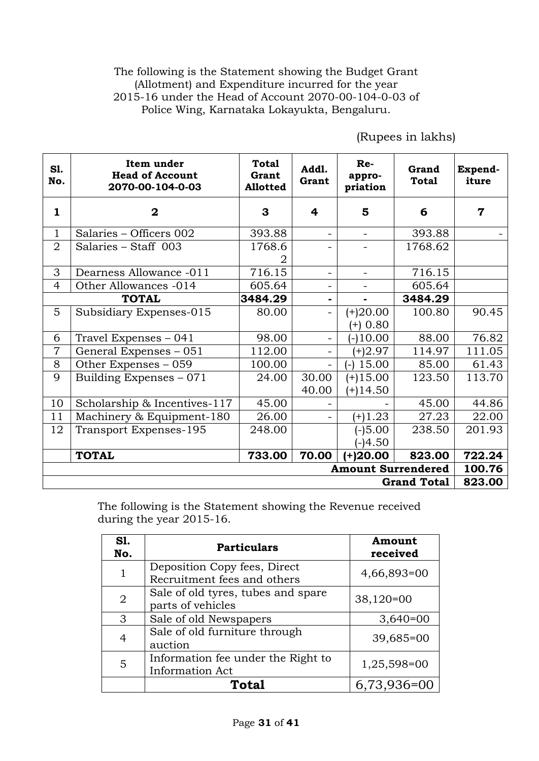#### The following is the Statement showing the Budget Grant (Allotment) and Expenditure incurred for the year 2015-16 under the Head of Account 2070-00-104-0-03 of Police Wing, Karnataka Lokayukta, Bengaluru.

| <b>S1.</b><br>No.         | Item under<br><b>Head of Account</b><br>2070-00-104-0-03 | <b>Total</b><br>Grant<br><b>Allotted</b> | Addl.<br>Grant          | $Re-$<br>appro-<br>priation | Grand<br><b>Total</b> | Expend-<br>iture |
|---------------------------|----------------------------------------------------------|------------------------------------------|-------------------------|-----------------------------|-----------------------|------------------|
| $\mathbf{1}$              | $\mathbf{2}$                                             | 3                                        | $\overline{\mathbf{r}}$ | 5                           | 6                     | $\overline{7}$   |
| 1                         | Salaries - Officers 002                                  | 393.88                                   |                         |                             | 393.88                |                  |
| $\overline{2}$            | Salaries - Staff 003                                     | 1768.6                                   |                         |                             | 1768.62               |                  |
| 3                         | Dearness Allowance -011                                  | 716.15                                   | -                       |                             | 716.15                |                  |
| $\overline{4}$            | Other Allowances -014                                    | 605.64                                   |                         |                             | 605.64                |                  |
|                           | <b>TOTAL</b>                                             | 3484.29                                  |                         |                             | 3484.29               |                  |
| 5                         | Subsidiary Expenses-015                                  | 80.00                                    |                         | $(+)20.00$                  | 100.80                | 90.45            |
|                           |                                                          |                                          |                         | $(+)$ 0.80                  |                       |                  |
| 6                         | Travel Expenses – 041                                    | 98.00                                    | $\blacksquare$          | $(-10.00)$                  | 88.00                 | 76.82            |
| 7                         | General Expenses - 051                                   | 112.00                                   |                         | $(+)2.97$                   | 114.97                | 111.05           |
| 8                         | Other Expenses - 059                                     | 100.00                                   | ÷.                      | 15.00<br>$(-)$              | 85.00                 | 61.43            |
| 9                         | Building Expenses - 071                                  | 24.00                                    | 30.00                   | $(+)15.00$                  | 123.50                | 113.70           |
|                           |                                                          |                                          | 40.00                   | $(+)14.50$                  |                       |                  |
| 10                        | Scholarship & Incentives-117                             | 45.00                                    |                         |                             | 45.00                 | 44.86            |
| 11                        | Machinery & Equipment-180                                | 26.00                                    |                         | $(+)1.23$                   | 27.23                 | 22.00            |
| 12                        | Transport Expenses-195                                   | 248.00                                   |                         | $(-)5.00$                   | 238.50                | 201.93           |
|                           |                                                          |                                          |                         | $(-)4.50$                   |                       |                  |
|                           | <b>TOTAL</b>                                             | 733.00                                   | 70.00                   | $(+)20.00$                  | 823.00                | 722.24           |
| <b>Amount Surrendered</b> |                                                          |                                          |                         |                             |                       |                  |
|                           |                                                          |                                          |                         |                             | <b>Grand Total</b>    | 823.00           |

(Rupees in lakhs)

The following is the Statement showing the Revenue received during the year 2015-16.

| <b>S1.</b><br>No. | <b>Particulars</b>                                           | Amount<br>received |
|-------------------|--------------------------------------------------------------|--------------------|
| 1                 | Deposition Copy fees, Direct<br>Recruitment fees and others  | 4,66,893=00        |
| $\overline{2}$    | Sale of old tyres, tubes and spare<br>parts of vehicles      | $38,120=00$        |
| 3                 | Sale of old Newspapers                                       | $3,640=00$         |
| $\overline{4}$    | Sale of old furniture through<br>auction                     | 39,685=00          |
| 5                 | Information fee under the Right to<br><b>Information Act</b> | 1,25,598=00        |
|                   | Total                                                        | 6,73,936=00        |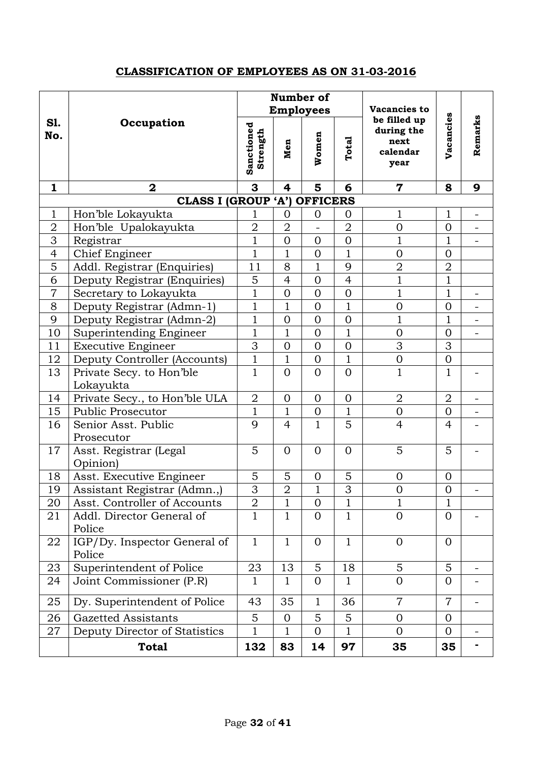### **CLASSIFICATION OF EMPLOYEES AS ON 31-03-2016**

|                   |                                        |                                                 |                | Number of<br><b>Employees</b>                          |                | Vacancies to            |                |   |
|-------------------|----------------------------------------|-------------------------------------------------|----------------|--------------------------------------------------------|----------------|-------------------------|----------------|---|
| <b>S1.</b><br>No. | Occupation                             | Sanctioned<br>Strength<br>Women<br>Total<br>Men |                | be filled up<br>during the<br>next<br>calendar<br>year | Vacancies      | Remarks                 |                |   |
| 1                 | $\mathbf 2$                            | 3                                               | 4              | 5                                                      | 6              | $\overline{\mathbf{7}}$ | 8              | 9 |
|                   | <b>CLASS I (GROUP 'A') OFFICERS</b>    |                                                 |                |                                                        |                |                         |                |   |
| 1                 | Hon'ble Lokayukta                      | 1                                               | 0              | $\mathbf{0}$                                           | 0              | 1                       | 1              |   |
| $\overline{2}$    | Hon'ble Upalokayukta                   | $\overline{2}$                                  | $\overline{2}$ |                                                        | $\overline{2}$ | $\overline{0}$          | $\overline{0}$ |   |
| 3                 | Registrar                              | $\overline{1}$                                  | $\overline{0}$ | $\overline{0}$                                         | $\overline{0}$ | $\mathbf 1$             | $\overline{1}$ |   |
| $\overline{4}$    | <b>Chief Engineer</b>                  | $\overline{1}$                                  | $\overline{1}$ | $\overline{0}$                                         | $\overline{1}$ | $\overline{0}$          | $\overline{0}$ |   |
| 5                 | Addl. Registrar (Enquiries)            | 11                                              | 8              | $\mathbf{1}$                                           | 9              | $\overline{2}$          | $\overline{2}$ |   |
| 6                 | Deputy Registrar (Enquiries)           | 5                                               | $\overline{4}$ | $\overline{0}$                                         | $\overline{4}$ | $\mathbf 1$             | $\mathbf{1}$   |   |
| $\overline{7}$    | Secretary to Lokayukta                 | $\mathbf{1}$                                    | $\overline{0}$ | $\overline{0}$                                         | $\overline{0}$ | $\overline{1}$          | $\mathbf{1}$   |   |
| 8                 | Deputy Registrar (Admn-1)              | $\mathbf{1}$                                    | 1              | $\overline{0}$                                         | $\mathbf{1}$   | $\overline{0}$          | $\overline{0}$ | - |
| 9                 | Deputy Registrar (Admn-2)              | $\mathbf{1}$                                    | $\overline{0}$ | $\overline{0}$                                         | $\overline{0}$ | $\mathbf{1}$            | $\overline{1}$ |   |
| 10                | Superintending Engineer                | $\mathbf{1}$                                    | 1              | $\overline{0}$                                         | 1              | $\overline{0}$          | $\overline{0}$ | - |
| 11                | <b>Executive Engineer</b>              | 3                                               | $\overline{0}$ | $\overline{0}$                                         | $\overline{0}$ | 3                       | 3              |   |
| 12                | Deputy Controller (Accounts)           | $\mathbf{1}$                                    | 1              | $\overline{0}$                                         | $\mathbf 1$    | $\boldsymbol{0}$        | $\mathbf{0}$   |   |
| 13                | Private Secy. to Hon'ble<br>Lokayukta  | $\mathbf{1}$                                    | $\Omega$       | $\overline{0}$                                         | $\overline{0}$ | $\overline{1}$          | $\mathbf{1}$   |   |
| 14                | Private Secy., to Hon'ble ULA          | $\overline{2}$                                  | $\overline{0}$ | $\overline{0}$                                         | $\overline{0}$ | $\overline{2}$          | $\overline{2}$ | - |
| 15                | <b>Public Prosecutor</b>               | $\mathbf{1}$                                    | $\mathbf 1$    | $\overline{0}$                                         | $\mathbf{1}$   | $\overline{0}$          | $\overline{0}$ |   |
| 16                | Senior Asst. Public<br>Prosecutor      | 9                                               | $\overline{4}$ | $\mathbf{1}$                                           | 5              | $\overline{4}$          | $\overline{4}$ |   |
| 17                | Asst. Registrar (Legal<br>Opinion)     | 5                                               | $\overline{0}$ | $\overline{0}$                                         | $\overline{0}$ | 5                       | 5              |   |
| 18                | Asst. Executive Engineer               | 5                                               | 5              | $\overline{0}$                                         | 5              | $\overline{0}$          | $\overline{0}$ |   |
| 19                | Assistant Registrar (Admn.,)           | $\overline{3}$                                  | $\overline{2}$ | 1                                                      | $\overline{3}$ | $\overline{0}$          | $\overline{0}$ |   |
| 20                | Asst. Controller of Accounts           | $\overline{2}$                                  | 1              | $\theta$                                               | $\mathbf{1}$   | 1                       | 1              |   |
| 21                | Addl. Director General of<br>Police    | $\mathbf{1}$                                    | $\mathbf 1$    | $\Omega$                                               | $\mathbf{1}$   | $\overline{0}$          | $\Omega$       |   |
| 22                | IGP/Dy. Inspector General of<br>Police | $\mathbf{1}$                                    | $\mathbf{1}$   | $\Omega$                                               | $\mathbf{1}$   | $\overline{0}$          | $\overline{0}$ |   |
| 23                | Superintendent of Police               | 23                                              | 13             | 5                                                      | 18             | 5                       | 5              |   |
| 24                | Joint Commissioner (P.R)               | $\mathbf{1}$                                    | 1              | $\overline{0}$                                         | 1              | $\overline{0}$          | $\overline{0}$ |   |
| 25                | Dy. Superintendent of Police           | 43                                              | 35             | $\mathbf{1}$                                           | 36             | $\overline{7}$          | $\overline{7}$ |   |
| 26                | <b>Gazetted Assistants</b>             | 5                                               | $\Omega$       | 5                                                      | 5              | $\Omega$                | $\Omega$       |   |
| 27                | Deputy Director of Statistics          | 1                                               | 1              | $\theta$                                               | 1              | $\Omega$                | $\Omega$       |   |
|                   | <b>Total</b>                           | 132                                             | 83             | 14                                                     | 97             | 35                      | 35             |   |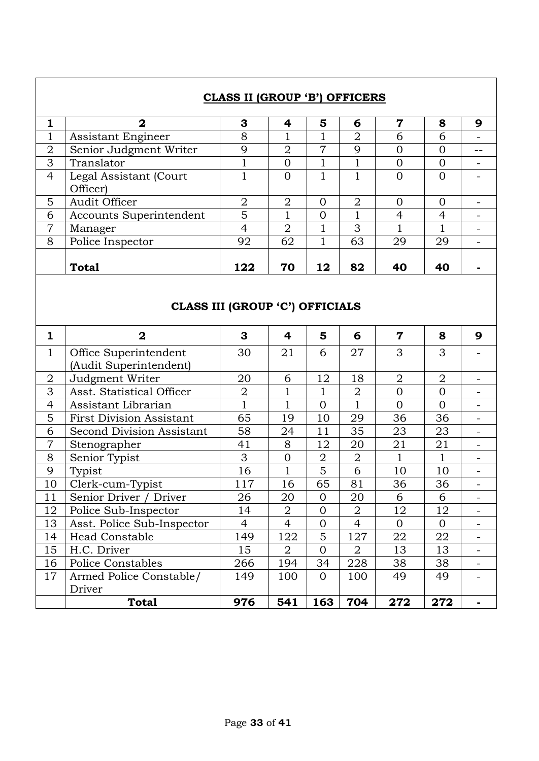|                |                                                 | CLASS II (GROUP 'B') OFFICERS   |                         |                |                |                         |                |                          |
|----------------|-------------------------------------------------|---------------------------------|-------------------------|----------------|----------------|-------------------------|----------------|--------------------------|
| $\mathbf{1}$   | $\overline{2}$                                  | 3                               | 4                       | 5              | 6              | $\overline{7}$          | 8              | 9                        |
| $\mathbf{1}$   | Assistant Engineer                              | 8                               | $\mathbf 1$             | $\mathbf{1}$   | $\overline{2}$ | 6                       | 6              |                          |
| $\overline{2}$ | Senior Judgment Writer                          | 9                               | $\overline{2}$          | $\overline{7}$ | 9              | $\overline{0}$          | $\overline{0}$ |                          |
| 3              | Translator                                      | $\mathbf{1}$                    | $\overline{0}$          | $\mathbf{1}$   | $\mathbf 1$    | $\overline{0}$          | $\overline{0}$ | $\overline{\phantom{a}}$ |
| $\overline{4}$ | Legal Assistant (Court<br>Officer)              | $\mathbf{1}$                    | $\overline{0}$          | $\mathbf{1}$   | $\overline{1}$ | $\overline{0}$          | $\overline{0}$ |                          |
| 5              | Audit Officer                                   | $\overline{2}$                  | $\overline{2}$          | $\overline{0}$ | $\overline{2}$ | $\mathbf{0}$            | $\Omega$       |                          |
| 6              | Accounts Superintendent                         | 5                               | $\overline{1}$          | $\overline{0}$ | $\overline{1}$ | $\overline{4}$          | $\overline{4}$ |                          |
| $\overline{7}$ | Manager                                         | $\overline{4}$                  | $\overline{2}$          | 1              | 3              |                         | 1              |                          |
| 8              | Police Inspector                                | 92                              | 62                      | $\mathbf{1}$   | 63             | 29                      | 29             |                          |
|                |                                                 |                                 |                         |                |                |                         |                |                          |
|                | <b>Total</b>                                    | 122                             | 70                      | 12             | 82             | 40                      | 40             |                          |
|                |                                                 | CLASS III (GROUP 'C') OFFICIALS |                         |                |                |                         |                |                          |
| 1              | $\overline{\mathbf{2}}$                         | 3                               | $\overline{\mathbf{4}}$ | 5              | 6              | $\overline{\mathbf{7}}$ | 8              | 9                        |
| $\mathbf{1}$   | Office Superintendent<br>(Audit Superintendent) | 30                              | 21                      | 6              | 27             | 3                       | 3              |                          |
| $\overline{2}$ | Judgment Writer                                 | 20                              | 6                       | 12             | 18             | $\overline{2}$          | $\overline{2}$ |                          |
| 3              | Asst. Statistical Officer                       | $\overline{2}$                  | 1                       | $\mathbf{1}$   | $\mathbf 2$    | $\overline{0}$          | $\overline{0}$ |                          |
| $\overline{4}$ | Assistant Librarian                             | $\overline{1}$                  | $\mathbf{1}$            | $\overline{0}$ | $\overline{1}$ | $\overline{0}$          | $\overline{0}$ |                          |
| 5              | <b>First Division Assistant</b>                 | 65                              | 19                      | 10             | 29             | 36                      | 36             | $\overline{\phantom{0}}$ |
| 6              | Second Division Assistant                       | 58                              | 24                      | 11             | 35             | 23                      | 23             |                          |
| 7              | Stenographer                                    | 41                              | 8                       | 12             | 20             | 21                      | 21             |                          |
| 8              | Senior Typist                                   | 3                               | $\overline{0}$          | $\overline{2}$ | $\overline{2}$ | $\mathbf{1}$            | $\mathbf 1$    |                          |
| 9              | Typist                                          | 16                              | 1                       | 5              | 6              | 10                      | 10             |                          |
| 10             | Clerk-cum-Typist                                | 117                             | 16                      | 65             | 81             | 36                      | 36             |                          |
| 11             | Senior Driver / Driver                          | 26                              | 20                      | $\mathbf{0}$   | 20             | 6                       | 6              |                          |
| 12             | Police Sub-Inspector                            | 14                              | $\overline{2}$          | $\Omega$       | $\overline{2}$ | 12                      | 12             |                          |
| 13             | Asst. Police Sub-Inspector                      | $\overline{4}$                  | $\overline{4}$          | $\Omega$       | $\overline{4}$ | $\overline{0}$          | $\Omega$       |                          |
| 14             | Head Constable                                  | 149                             | 122                     | 5              | 127            | 22                      | 22             |                          |
| 15             | H.C. Driver                                     | 15                              | $\overline{2}$          | $\Omega$       | $\overline{2}$ | 13                      | 13             |                          |
| 16             | Police Constables                               | 266                             | 194                     | 34             | 228            | 38                      | 38             |                          |
| 17             | Armed Police Constable/<br>Driver               | 149                             | 100                     | $\overline{0}$ | 100            | 49                      | 49             |                          |
|                | <b>Total</b>                                    | 976                             | 541                     | 163            | 704            | 272                     | 272            | ٠                        |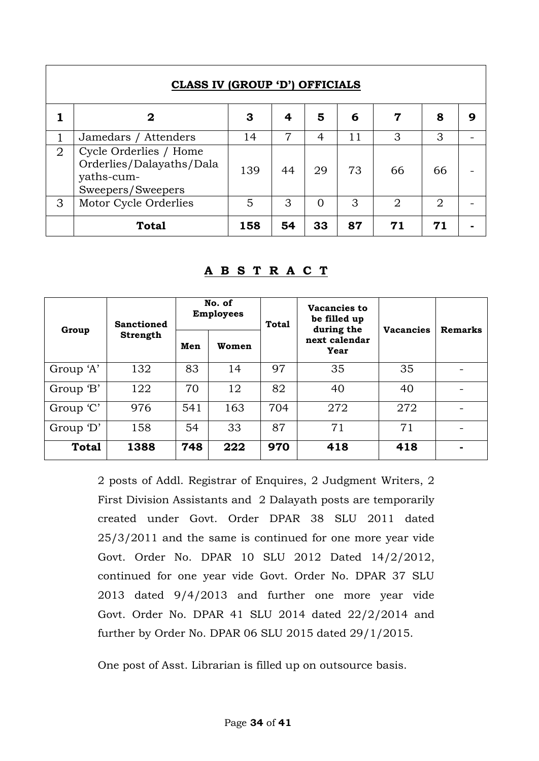|                | <b>CLASS IV (GROUP 'D') OFFICIALS</b>                                                 |     |    |          |    |                |    |   |
|----------------|---------------------------------------------------------------------------------------|-----|----|----------|----|----------------|----|---|
|                | 2                                                                                     | 3   | 4  | 5        | 6  | 7              | 8  | g |
|                | Jamedars / Attenders                                                                  | 14  | 7  | 4        | 11 | 3              | 3  |   |
| $\overline{2}$ | Cycle Orderlies / Home<br>Orderlies/Dalayaths/Dala<br>yaths-cum-<br>Sweepers/Sweepers | 139 | 44 | 29       | 73 | 66             | 66 |   |
| 3              | Motor Cycle Orderlies                                                                 | 5   | 3  | $\Omega$ | 3  | $\overline{2}$ | 2  |   |
|                | <b>Total</b>                                                                          | 158 | 54 | 33       | 87 | 71             | 71 |   |

| Group        | <b>Sanctioned</b> |     | No. of<br><b>Employees</b> | Vacancies to<br>be filled up<br><b>Total</b><br>during the |                       | <b>Vacancies</b> | <b>Remarks</b> |
|--------------|-------------------|-----|----------------------------|------------------------------------------------------------|-----------------------|------------------|----------------|
|              | Strength          | Men | Women                      |                                                            | next calendar<br>Year |                  |                |
| Group 'A'    | 132               | 83  | 14                         | 97                                                         | 35                    | 35               |                |
| Group 'B'    | 122               | 70  | 12                         | 82                                                         | 40                    | 40               |                |
| Group 'C'    | 976               | 541 | 163                        | 704                                                        | 272                   | 272              |                |
| Group 'D'    | 158               | 54  | 33                         | 87                                                         | 71                    | 71               |                |
| <b>Total</b> | 1388              | 748 | 222                        | 970                                                        | 418                   | 418              |                |

### **A B S T R A C T**

2 posts of Addl. Registrar of Enquires, 2 Judgment Writers, 2 First Division Assistants and 2 Dalayath posts are temporarily created under Govt. Order DPAR 38 SLU 2011 dated 25/3/2011 and the same is continued for one more year vide Govt. Order No. DPAR 10 SLU 2012 Dated 14/2/2012, continued for one year vide Govt. Order No. DPAR 37 SLU 2013 dated 9/4/2013 and further one more year vide Govt. Order No. DPAR 41 SLU 2014 dated 22/2/2014 and further by Order No. DPAR 06 SLU 2015 dated 29/1/2015.

One post of Asst. Librarian is filled up on outsource basis.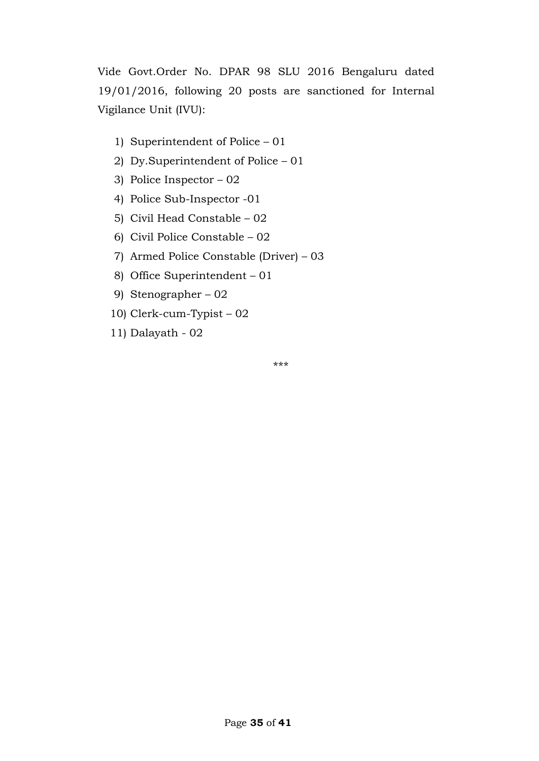Vide Govt.Order No. DPAR 98 SLU 2016 Bengaluru dated 19/01/2016, following 20 posts are sanctioned for Internal Vigilance Unit (IVU):

- 1) Superintendent of Police 01
- 2) Dy.Superintendent of Police 01
- 3) Police Inspector 02
- 4) Police Sub-Inspector -01
- 5) Civil Head Constable 02
- 6) Civil Police Constable 02
- 7) Armed Police Constable (Driver) 03
- 8) Office Superintendent 01
- 9) Stenographer 02
- 10) Clerk-cum-Typist 02
- 11) Dalayath 02

\*\*\*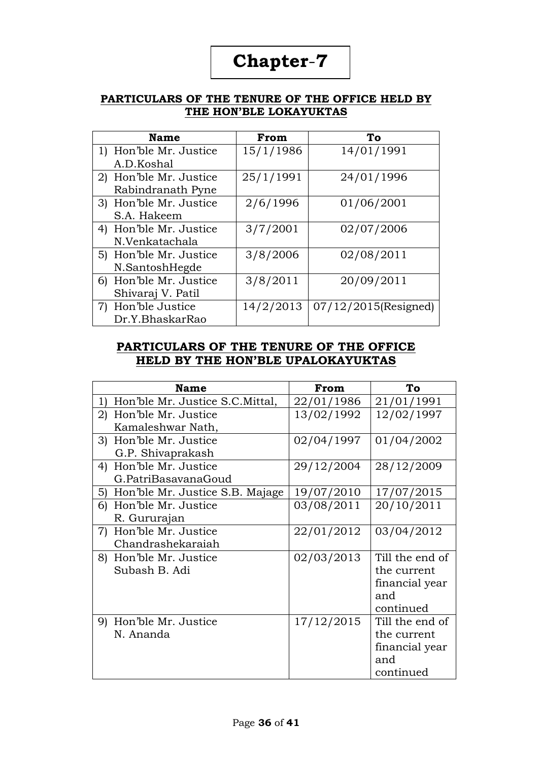#### **PARTICULARS OF THE TENURE OF THE OFFICE HELD BY THE HON'BLE LOKAYUKTAS**

| <b>Name</b>            | From      | To                      |
|------------------------|-----------|-------------------------|
| 1) Hon'ble Mr. Justice | 15/1/1986 | 14/01/1991              |
| A.D.Koshal             |           |                         |
| 2) Hon'ble Mr. Justice | 25/1/1991 | 24/01/1996              |
| Rabindranath Pyne      |           |                         |
| 3) Hon'ble Mr. Justice | 2/6/1996  | 01/06/2001              |
| S.A. Hakeem            |           |                         |
| 4) Hon'ble Mr. Justice | 3/7/2001  | 02/07/2006              |
| N.Venkatachala         |           |                         |
| 5) Hon'ble Mr. Justice | 3/8/2006  | 02/08/2011              |
| N.SantoshHegde         |           |                         |
| 6) Hon'ble Mr. Justice | 3/8/2011  | 20/09/2011              |
| Shivaraj V. Patil      |           |                         |
| 7) Hon'ble Justice     | 14/2/2013 | $07/12/2015$ (Resigned) |
| Dr.Y.BhaskarRao        |           |                         |

#### **PARTICULARS OF THE TENURE OF THE OFFICE HELD BY THE HON'BLE UPALOKAYUKTAS**

|    | <b>Name</b>                        | From       | To              |
|----|------------------------------------|------------|-----------------|
| 1) | Hon'ble Mr. Justice S.C. Mittal,   | 22/01/1986 | 21/01/1991      |
| 2) | Hon'ble Mr. Justice                | 13/02/1992 | 12/02/1997      |
|    | Kamaleshwar Nath,                  |            |                 |
| 3) | Hon'ble Mr. Justice                | 02/04/1997 | 01/04/2002      |
|    | G.P. Shivaprakash                  |            |                 |
| 4) | Hon'ble Mr. Justice                | 29/12/2004 | 28/12/2009      |
|    | G.PatriBasavanaGoud                |            |                 |
|    | 5) Hon'ble Mr. Justice S.B. Majage | 19/07/2010 | 17/07/2015      |
|    | 6) Hon'ble Mr. Justice             | 03/08/2011 | 20/10/2011      |
|    | R. Gururajan                       |            |                 |
| 7) | Hon'ble Mr. Justice                | 22/01/2012 | 03/04/2012      |
|    | Chandrashekaraiah                  |            |                 |
| 8) | Hon'ble Mr. Justice                | 02/03/2013 | Till the end of |
|    | Subash B. Adi                      |            | the current     |
|    |                                    |            | financial year  |
|    |                                    |            | and             |
|    |                                    |            | continued       |
| 9) | Hon'ble Mr. Justice                | 17/12/2015 | Till the end of |
|    | N. Ananda                          |            | the current     |
|    |                                    |            | financial year  |
|    |                                    |            | and             |
|    |                                    |            | continued       |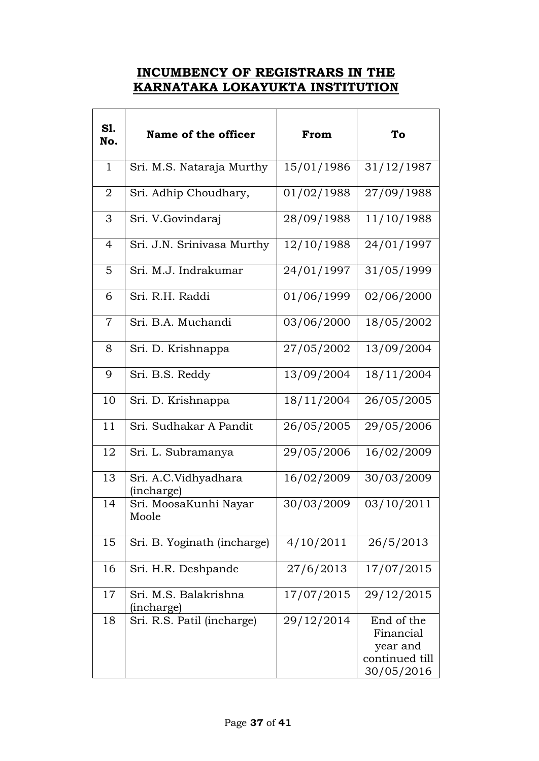## **INCUMBENCY OF REGISTRARS IN THE KARNATAKA LOKAYUKTA INSTITUTION**

| S1.<br>No.     | Name of the officer                 | From       | To                                                                  |
|----------------|-------------------------------------|------------|---------------------------------------------------------------------|
| $\mathbf{1}$   | Sri. M.S. Nataraja Murthy           | 15/01/1986 | 31/12/1987                                                          |
| 2              | Sri. Adhip Choudhary,               | 01/02/1988 | 27/09/1988                                                          |
| 3              | Sri. V.Govindaraj                   | 28/09/1988 | 11/10/1988                                                          |
| $\overline{4}$ | Sri. J.N. Srinivasa Murthy          | 12/10/1988 | 24/01/1997                                                          |
| 5              | Sri. M.J. Indrakumar                | 24/01/1997 | 31/05/1999                                                          |
| 6              | Sri. R.H. Raddi                     | 01/06/1999 | 02/06/2000                                                          |
| $\overline{7}$ | Sri. B.A. Muchandi                  | 03/06/2000 | 18/05/2002                                                          |
| 8              | Sri. D. Krishnappa                  | 27/05/2002 | 13/09/2004                                                          |
| 9              | Sri. B.S. Reddy                     | 13/09/2004 | 18/11/2004                                                          |
| 10             | Sri. D. Krishnappa                  | 18/11/2004 | 26/05/2005                                                          |
| 11             | Sri. Sudhakar A Pandit              | 26/05/2005 | 29/05/2006                                                          |
| 12             | Sri. L. Subramanya                  | 29/05/2006 | 16/02/2009                                                          |
| 13             | Sri. A.C.Vidhyadhara<br>(incharge)  | 16/02/2009 | 30/03/2009                                                          |
| 14             | Sri. MoosaKunhi Nayar<br>Moole      | 30/03/2009 | 03/10/2011                                                          |
| 15             | Sri. B. Yoginath (incharge)         | 4/10/2011  | 26/5/2013                                                           |
| 16             | Sri. H.R. Deshpande                 | 27/6/2013  | 17/07/2015                                                          |
| 17             | Sri. M.S. Balakrishna<br>(incharge) | 17/07/2015 | 29/12/2015                                                          |
| 18             | Sri. R.S. Patil (incharge)          | 29/12/2014 | End of the<br>Financial<br>year and<br>continued till<br>30/05/2016 |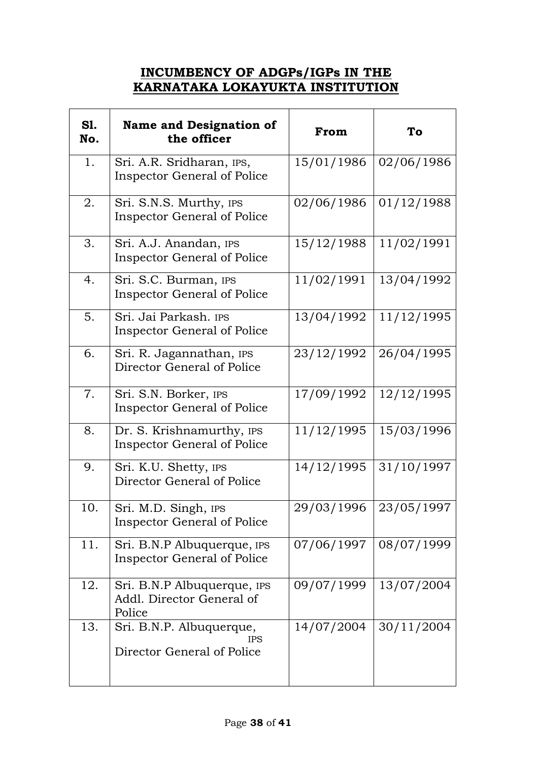## **INCUMBENCY OF ADGPs/IGPs IN THE KARNATAKA LOKAYUKTA INSTITUTION**

| <b>S1.</b><br>No. | <b>Name and Designation of</b><br>the officer                        | From       | To         |
|-------------------|----------------------------------------------------------------------|------------|------------|
| 1.                | Sri. A.R. Sridharan, IPS,<br><b>Inspector General of Police</b>      | 15/01/1986 | 02/06/1986 |
| 2.                | Sri. S.N.S. Murthy, IPS<br><b>Inspector General of Police</b>        | 02/06/1986 | 01/12/1988 |
| 3.                | Sri. A.J. Anandan, IPS<br><b>Inspector General of Police</b>         | 15/12/1988 | 11/02/1991 |
| 4.                | Sri. S.C. Burman, IPS<br><b>Inspector General of Police</b>          | 11/02/1991 | 13/04/1992 |
| 5.                | Sri. Jai Parkash. IPS<br>Inspector General of Police                 | 13/04/1992 | 11/12/1995 |
| 6.                | Sri. R. Jagannathan, IPS<br>Director General of Police               | 23/12/1992 | 26/04/1995 |
| 7.                | Sri. S.N. Borker, IPS<br><b>Inspector General of Police</b>          | 17/09/1992 | 12/12/1995 |
| 8.                | Dr. S. Krishnamurthy, IPS<br><b>Inspector General of Police</b>      | 11/12/1995 | 15/03/1996 |
| 9.                | Sri. K.U. Shetty, IPS<br>Director General of Police                  | 14/12/1995 | 31/10/1997 |
| 10.               | Sri. M.D. Singh, IPS<br><b>Inspector General of Police</b>           | 29/03/1996 | 23/05/1997 |
| 11.               | Sri. B.N.P Albuquerque, IPS<br><b>Inspector General of Police</b>    | 07/06/1997 | 08/07/1999 |
| 12.               | Sri. B.N.P Albuquerque, IPS<br>Addl. Director General of<br>Police   | 09/07/1999 | 13/07/2004 |
| 13.               | Sri. B.N.P. Albuquerque,<br><b>IPS</b><br>Director General of Police | 14/07/2004 | 30/11/2004 |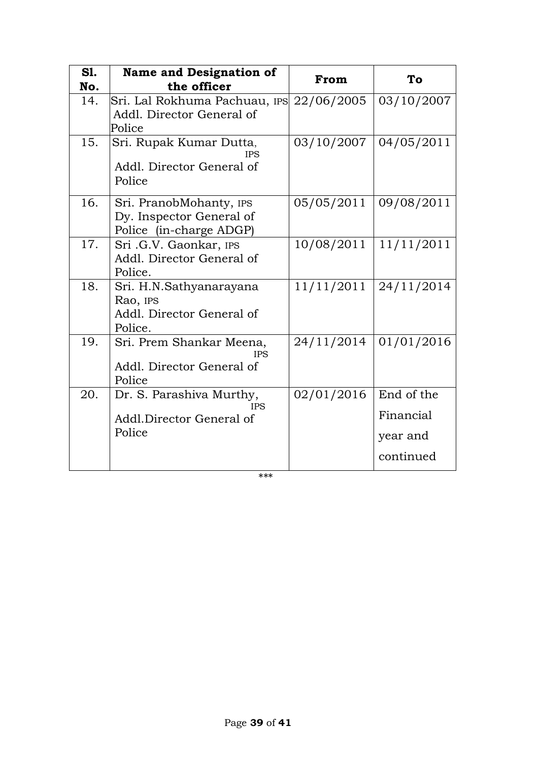| <b>S1.</b><br>No. | <b>Name and Designation of</b><br>the officer                                          | From       | To                                               |
|-------------------|----------------------------------------------------------------------------------------|------------|--------------------------------------------------|
| 14.               | Sri. Lal Rokhuma Pachuau, IPS 22/06/2005<br>Addl. Director General of                  |            | 03/10/2007                                       |
| 15.               | Police<br>Sri. Rupak Kumar Dutta,<br><b>IPS</b><br>Addl. Director General of<br>Police | 03/10/2007 | 04/05/2011                                       |
| 16.               | Sri. PranobMohanty, IPS<br>Dy. Inspector General of<br>Police (in-charge ADGP)         | 05/05/2011 | 09/08/2011                                       |
| 17.               | Sri .G.V. Gaonkar, IPS<br>Addl. Director General of<br>Police.                         | 10/08/2011 | 11/11/2011                                       |
| 18.               | Sri. H.N.Sathyanarayana<br>Rao, IPS<br>Addl. Director General of<br>Police.            | 11/11/2011 | 24/11/2014                                       |
| 19.               | Sri. Prem Shankar Meena,<br><b>IPS</b><br>Addl. Director General of<br>Police          | 24/11/2014 | 01/01/2016                                       |
| 20.               | Dr. S. Parashiva Murthy,<br><b>IPS</b><br>Addl.Director General of<br>Police           | 02/01/2016 | End of the<br>Financial<br>year and<br>continued |

\*\*\*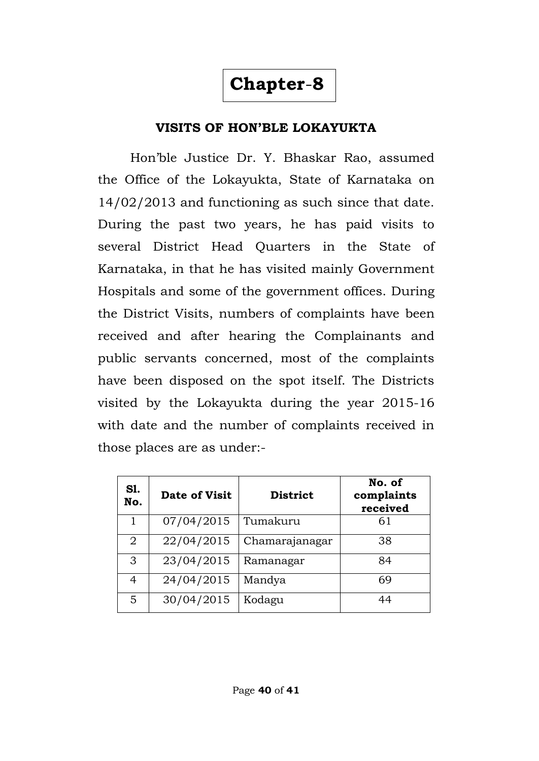# **VISITS OF HON'BLE LOKAYUKTA**

Hon'ble Justice Dr. Y. Bhaskar Rao, assumed the Office of the Lokayukta, State of Karnataka on 14/02/2013 and functioning as such since that date. During the past two years, he has paid visits to several District Head Quarters in the State of Karnataka, in that he has visited mainly Government Hospitals and some of the government offices. During the District Visits, numbers of complaints have been received and after hearing the Complainants and public servants concerned, most of the complaints have been disposed on the spot itself. The Districts visited by the Lokayukta during the year 2015-16 with date and the number of complaints received in those places are as under:-

| S1.<br>No.     | Date of Visit | <b>District</b> | No. of<br>complaints<br>received |
|----------------|---------------|-----------------|----------------------------------|
| 1              | 07/04/2015    | Tumakuru        | 61                               |
| $\overline{2}$ | 22/04/2015    | Chamarajanagar  | 38                               |
| 3              | 23/04/2015    | Ramanagar       | 84                               |
| 4              | 24/04/2015    | Mandya          | 69                               |
| 5              | 30/04/2015    | Kodagu          | 44                               |